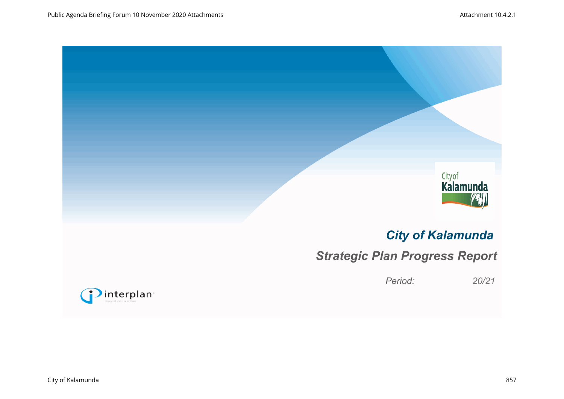

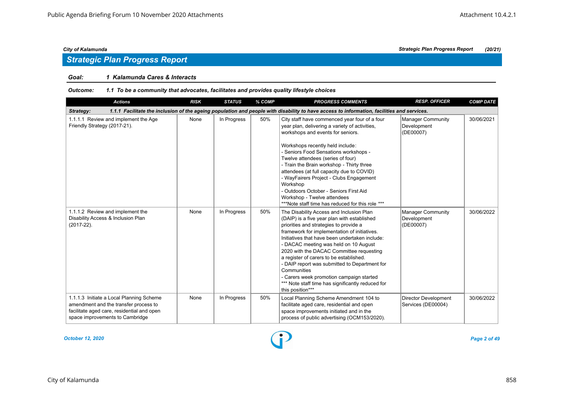### *Goal: 1 Kalamunda Cares & Interacts*

#### *Outcome: 1.1 To be a community that advocates, facilitates and provides quality lifestyle choices*

| <b>Actions</b>                                                                                                                                                     | <b>RISK</b> | <b>STATUS</b> | % COMP | <b>PROGRESS COMMENTS</b>                                                                                                                                                                                                                                                                                                                                                                                                                                                                                                                                 | <b>RESP. OFFICER</b>                                 | <b>COMP DATE</b> |  |  |  |  |
|--------------------------------------------------------------------------------------------------------------------------------------------------------------------|-------------|---------------|--------|----------------------------------------------------------------------------------------------------------------------------------------------------------------------------------------------------------------------------------------------------------------------------------------------------------------------------------------------------------------------------------------------------------------------------------------------------------------------------------------------------------------------------------------------------------|------------------------------------------------------|------------------|--|--|--|--|
| Strategy:<br>1.1.1 Facilitate the inclusion of the ageing population and people with disability to have access to information, facilities and services.            |             |               |        |                                                                                                                                                                                                                                                                                                                                                                                                                                                                                                                                                          |                                                      |                  |  |  |  |  |
| 1.1.1.1 Review and implement the Age<br>Friendly Strategy (2017-21).                                                                                               | None        | In Progress   | 50%    | City staff have commenced year four of a four<br>year plan, delivering a variety of activities,<br>workshops and events for seniors.<br>Workshops recently held include:<br>- Seniors Food Sensations workshops -<br>Twelve attendees (series of four)<br>- Train the Brain workshop - Thirty three<br>attendees (at full capacity due to COVID)<br>- WayFairers Project - Clubs Engagement<br>Workshop<br>- Outdoors October - Seniors First Aid<br>Workshop - Twelve attendees<br>***Note staff time has reduced for this role ***                     | <b>Manager Community</b><br>Development<br>(DE00007) | 30/06/2021       |  |  |  |  |
| 1.1.1.2 Review and implement the<br>Disability Access & Inclusion Plan<br>$(2017-22).$                                                                             | None        | In Progress   | 50%    | The Disability Access and Inclusion Plan<br>(DAIP) is a five year plan with established<br>priorities and strategies to provide a<br>framework for implementation of initiatives.<br>Initiatives that have been undertaken include:<br>- DACAC meeting was held on 10 August<br>2020 with the DACAC Committee requesting<br>a register of carers to be established.<br>- DAIP report was submitted to Department for<br>Communities<br>- Carers week promotion campaign started<br>*** Note staff time has significantly reduced for<br>this position*** | <b>Manager Community</b><br>Development<br>(DE00007) | 30/06/2022       |  |  |  |  |
| 1.1.1.3 Initiate a Local Planning Scheme<br>amendment and the transfer process to<br>facilitate aged care, residential and open<br>space improvements to Cambridge | None        | In Progress   | 50%    | Local Planning Scheme Amendment 104 to<br>facilitate aged care, residential and open<br>space improvements initiated and in the<br>process of public advertising (OCM153/2020).                                                                                                                                                                                                                                                                                                                                                                          | <b>Director Development</b><br>Services (DE00004)    | 30/06/2022       |  |  |  |  |

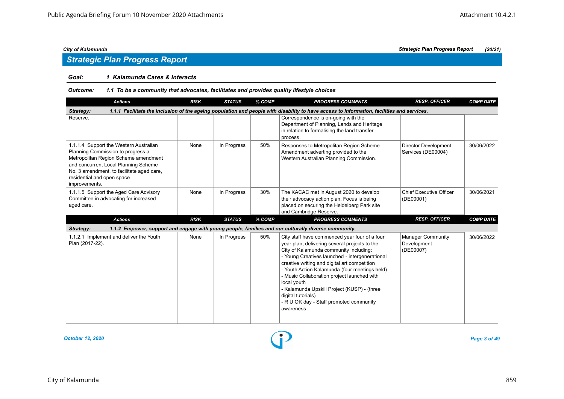# *Strategic Plan Progress Report*

### *Goal: 1 Kalamunda Cares & Interacts*

#### *Outcome: 1.1 To be a community that advocates, facilitates and provides quality lifestyle choices*

| <b>Actions</b>                                                                                                                                                                                                                                          | <b>RISK</b> | <b>STATUS</b> | % COMP | <b>PROGRESS COMMENTS</b>                                                                                                                                                                                                                                                                                                                                                                                                                                                               | <b>RESP. OFFICER</b>                                 | <b>COMP DATE</b> |  |  |  |
|---------------------------------------------------------------------------------------------------------------------------------------------------------------------------------------------------------------------------------------------------------|-------------|---------------|--------|----------------------------------------------------------------------------------------------------------------------------------------------------------------------------------------------------------------------------------------------------------------------------------------------------------------------------------------------------------------------------------------------------------------------------------------------------------------------------------------|------------------------------------------------------|------------------|--|--|--|
| 1.1.1 Facilitate the inclusion of the ageing population and people with disability to have access to information, facilities and services.<br>Strategy:                                                                                                 |             |               |        |                                                                                                                                                                                                                                                                                                                                                                                                                                                                                        |                                                      |                  |  |  |  |
| Reserve.                                                                                                                                                                                                                                                |             |               |        | Correspondence is on-going with the<br>Department of Planning, Lands and Heritage<br>in relation to formalising the land transfer<br>process.                                                                                                                                                                                                                                                                                                                                          |                                                      |                  |  |  |  |
| 1.1.1.4 Support the Western Australian<br>Planning Commission to progress a<br>Metropolitan Region Scheme amendment<br>and concurrent Local Planning Scheme<br>No. 3 amendment, to facilitate aged care,<br>residential and open space<br>improvements. | None        | In Progress   | 50%    | Responses to Metropolitan Region Scheme<br>Amendment adverting provided to the<br>Western Australian Planning Commission.                                                                                                                                                                                                                                                                                                                                                              | <b>Director Development</b><br>Services (DE00004)    | 30/06/2022       |  |  |  |
| 1.1.1.5 Support the Aged Care Advisory<br>Committee in advocating for increased<br>aged care.                                                                                                                                                           | None        | In Progress   | 30%    | The KACAC met in August 2020 to develop<br>their advocacy action plan. Focus is being<br>placed on securing the Heidelberg Park site<br>and Cambridge Reserve.                                                                                                                                                                                                                                                                                                                         | <b>Chief Executive Officer</b><br>(DE00001)          | 30/06/2021       |  |  |  |
| <b>Actions</b>                                                                                                                                                                                                                                          | <b>RISK</b> | <b>STATUS</b> | % COMP | <b>PROGRESS COMMENTS</b>                                                                                                                                                                                                                                                                                                                                                                                                                                                               | <b>RESP. OFFICER</b>                                 | <b>COMP DATE</b> |  |  |  |
| Strategy:                                                                                                                                                                                                                                               |             |               |        | 1.1.2 Empower, support and engage with young people, families and our culturally diverse community.                                                                                                                                                                                                                                                                                                                                                                                    |                                                      |                  |  |  |  |
| 1.1.2.1 Implement and deliver the Youth<br>Plan (2017-22).                                                                                                                                                                                              | None        | In Progress   | 50%    | City staff have commenced year four of a four<br>year plan, delivering several projects to the<br>City of Kalamunda community including:<br>- Young Creatives launched - intergenerational<br>creative writing and digital art competition<br>- Youth Action Kalamunda (four meetings held)<br>- Music Collaboration project launched with<br>local youth<br>- Kalamunda Upskill Project (KUSP) - (three<br>digital tutorials)<br>- R U OK day - Staff promoted community<br>awareness | <b>Manager Community</b><br>Development<br>(DE00007) | 30/06/2022       |  |  |  |

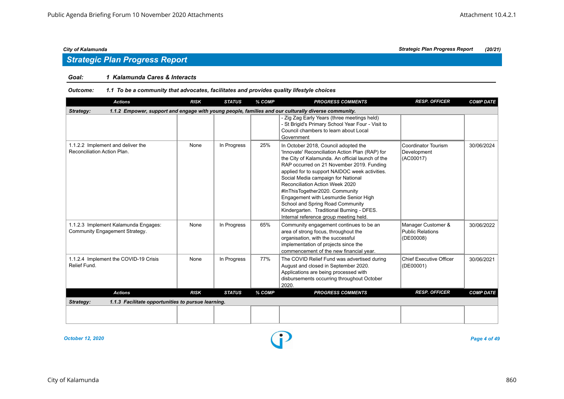# *Strategic Plan Progress Report*

### *Goal: 1 Kalamunda Cares & Interacts*

#### *Outcome: 1.1 To be a community that advocates, facilitates and provides quality lifestyle choices*

| <b>Actions</b>                                                         | <b>RISK</b> | <b>STATUS</b> | % COMP | <b>PROGRESS COMMENTS</b>                                                                                                                                                                                                                                                                                                                                                                                                                                                                                                  | <b>RESP. OFFICER</b>                                       | <b>COMP DATE</b> |
|------------------------------------------------------------------------|-------------|---------------|--------|---------------------------------------------------------------------------------------------------------------------------------------------------------------------------------------------------------------------------------------------------------------------------------------------------------------------------------------------------------------------------------------------------------------------------------------------------------------------------------------------------------------------------|------------------------------------------------------------|------------------|
| Strategy:                                                              |             |               |        | 1.1.2 Empower, support and engage with young people, families and our culturally diverse community.                                                                                                                                                                                                                                                                                                                                                                                                                       |                                                            |                  |
|                                                                        |             |               |        | - Zig Zag Early Years (three meetings held)<br>- St Brigid's Primary School Year Four - Visit to<br>Council chambers to learn about Local<br>Government                                                                                                                                                                                                                                                                                                                                                                   |                                                            |                  |
| 1.1.2.2 Implement and deliver the<br>Reconciliation Action Plan.       | None        | In Progress   | 25%    | In October 2018, Council adopted the<br>'Innovate' Reconciliation Action Plan (RAP) for<br>the City of Kalamunda. An official launch of the<br>RAP occurred on 21 November 2019. Funding<br>applied for to support NAIDOC week activities.<br>Social Media campaign for National<br>Reconciliation Action Week 2020<br>#InThisTogether2020. Community<br>Engagement with Lesmurdie Senior High<br>School and Spring Road Community<br>Kindergarten. Traditional Burning - DFES.<br>Internal reference group meeting held. | Coordinator Tourism<br>Development<br>(AC00017)            | 30/06/2024       |
| 1.1.2.3 Implement Kalamunda Engages:<br>Community Engagement Strategy. | None        | In Progress   | 65%    | Community engagement continues to be an<br>area of strong focus, throughout the<br>organisation, with the successful<br>implementation of projects since the<br>commencement of the new financial year.                                                                                                                                                                                                                                                                                                                   | Manager Customer &<br><b>Public Relations</b><br>(DE00008) | 30/06/2022       |
| 1.1.2.4 Implement the COVID-19 Crisis<br>Relief Fund.                  | None        | In Progress   | 77%    | The COVID Relief Fund was advertised during<br>August and closed in September 2020.<br>Applications are being processed with<br>disbursements occurring throughout October<br>2020.                                                                                                                                                                                                                                                                                                                                       | <b>Chief Executive Officer</b><br>(DE00001)                | 30/06/2021       |
| <b>Actions</b>                                                         | <b>RISK</b> | <b>STATUS</b> | % COMP | <b>PROGRESS COMMENTS</b>                                                                                                                                                                                                                                                                                                                                                                                                                                                                                                  | <b>RESP. OFFICER</b>                                       | <b>COMP DATE</b> |
| 1.1.3 Facilitate opportunities to pursue learning.<br>Strategy:        |             |               |        |                                                                                                                                                                                                                                                                                                                                                                                                                                                                                                                           |                                                            |                  |
|                                                                        |             |               |        |                                                                                                                                                                                                                                                                                                                                                                                                                                                                                                                           |                                                            |                  |
|                                                                        |             |               |        |                                                                                                                                                                                                                                                                                                                                                                                                                                                                                                                           |                                                            |                  |

*October 12, 2020 Page 4 of 49*

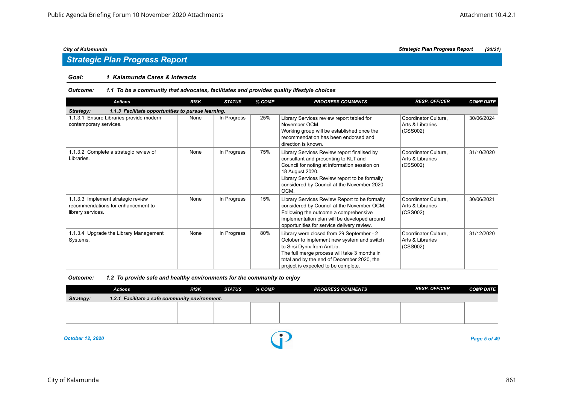# *Strategic Plan Progress Report*

### *Goal: 1 Kalamunda Cares & Interacts*

#### *Outcome: 1.1 To be a community that advocates, facilitates and provides quality lifestyle choices*

| <b>Actions</b>                                                                                | <b>RISK</b> | <b>STATUS</b> | % COMP | <b>PROGRESS COMMENTS</b>                                                                                                                                                                                                                                      | <b>RESP. OFFICER</b>                                 | <b>COMP DATE</b> |  |  |  |  |
|-----------------------------------------------------------------------------------------------|-------------|---------------|--------|---------------------------------------------------------------------------------------------------------------------------------------------------------------------------------------------------------------------------------------------------------------|------------------------------------------------------|------------------|--|--|--|--|
| 1.1.3 Facilitate opportunities to pursue learning.<br>Strategy:                               |             |               |        |                                                                                                                                                                                                                                                               |                                                      |                  |  |  |  |  |
| 1.1.3.1 Ensure Libraries provide modern<br>contemporary services.                             | None        | In Progress   | 25%    | Library Services review report tabled for<br>November OCM.<br>Working group will be established once the<br>recommendation has been endorsed and<br>direction is known.                                                                                       | Coordinator Culture,<br>Arts & Libraries<br>(CSS002) | 30/06/2024       |  |  |  |  |
| 1.1.3.2 Complete a strategic review of<br>Libraries.                                          | None        | In Progress   | 75%    | Library Services Review report finalised by<br>consultant and presenting to KLT and<br>Council for noting at information session on<br>18 August 2020.<br>Library Services Review report to be formally<br>considered by Council at the November 2020<br>OCM. | Coordinator Culture,<br>Arts & Libraries<br>(CSS002) | 31/10/2020       |  |  |  |  |
| 1.1.3.3 Implement strategic review<br>recommendations for enhancement to<br>library services. | None        | In Progress   | 15%    | Library Services Review Report to be formally<br>considered by Council at the November OCM.<br>Following the outcome a comprehensive<br>implementation plan will be developed around<br>opportunities for service delivery review.                            | Coordinator Culture,<br>Arts & Libraries<br>(CSS002) | 30/06/2021       |  |  |  |  |
| 1.1.3.4 Upgrade the Library Management<br>Systems.                                            | None        | In Progress   | 80%    | Library were closed from 29 September - 2<br>October to implement new system and switch<br>to Sirsi Dynix from AmLib.<br>The full merge process will take 3 months in<br>total and by the end of December 2020, the<br>project is expected to be complete.    | Coordinator Culture,<br>Arts & Libraries<br>(CSS002) | 31/12/2020       |  |  |  |  |

| Outcome: | 1.2 To provide safe and healthy environments for the community to enjoy |  |
|----------|-------------------------------------------------------------------------|--|
|          |                                                                         |  |

|           | <b>Actions</b>                                 | <b>RISK</b> | STATUS | % COMP | <b>PROGRESS COMMENTS</b> | <b>RESP. OFFICER</b> | <b>COMP DATE</b> |  |  |  |  |
|-----------|------------------------------------------------|-------------|--------|--------|--------------------------|----------------------|------------------|--|--|--|--|
| Strategy: | 1.2.1 Facilitate a safe community environment. |             |        |        |                          |                      |                  |  |  |  |  |
|           |                                                |             |        |        |                          |                      |                  |  |  |  |  |
|           |                                                |             |        |        |                          |                      |                  |  |  |  |  |
|           |                                                |             |        |        |                          |                      |                  |  |  |  |  |

*October 12, 2020 Page 5 of 49*

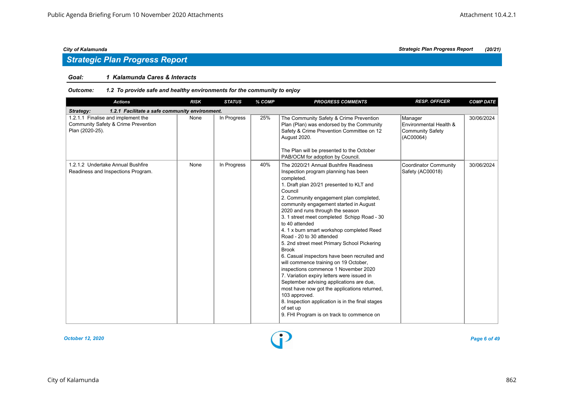### *Goal: 1 Kalamunda Cares & Interacts*

### *Outcome: 1.2 To provide safe and healthy environments for the community to enjoy*

| <b>Actions</b>                                                                               | <b>RISK</b> | <b>STATUS</b> | % COMP | <b>PROGRESS COMMENTS</b>                                                                                                                                                                                                                                                                                                                                                                                                                                                                                                                                                                                                                                                                                                                                                                                                                                                                       | <b>RESP. OFFICER</b>                                                      | <b>COMP DATE</b> |  |  |  |  |
|----------------------------------------------------------------------------------------------|-------------|---------------|--------|------------------------------------------------------------------------------------------------------------------------------------------------------------------------------------------------------------------------------------------------------------------------------------------------------------------------------------------------------------------------------------------------------------------------------------------------------------------------------------------------------------------------------------------------------------------------------------------------------------------------------------------------------------------------------------------------------------------------------------------------------------------------------------------------------------------------------------------------------------------------------------------------|---------------------------------------------------------------------------|------------------|--|--|--|--|
| 1.2.1 Facilitate a safe community environment.<br>Strategy:                                  |             |               |        |                                                                                                                                                                                                                                                                                                                                                                                                                                                                                                                                                                                                                                                                                                                                                                                                                                                                                                |                                                                           |                  |  |  |  |  |
| 1.2.1.1 Finalise and implement the<br>Community Safety & Crime Prevention<br>Plan (2020-25). | None        | In Progress   | 25%    | The Community Safety & Crime Prevention<br>Plan (Plan) was endorsed by the Community<br>Safety & Crime Prevention Committee on 12<br>August 2020.<br>The Plan will be presented to the October<br>PAB/OCM for adoption by Council.                                                                                                                                                                                                                                                                                                                                                                                                                                                                                                                                                                                                                                                             | Manager<br>Environmental Health &<br><b>Community Safety</b><br>(AC00064) | 30/06/2024       |  |  |  |  |
| 1.2.1.2 Undertake Annual Bushfire<br>Readiness and Inspections Program.                      | None        | In Progress   | 40%    | The 2020/21 Annual Bushfire Readiness<br>Inspection program planning has been<br>completed.<br>1. Draft plan 20/21 presented to KLT and<br>Council<br>2. Community engagement plan completed,<br>community engagement started in August<br>2020 and runs through the season<br>3. 1 street meet completed Schipp Road - 30<br>to 40 attended<br>4. 1 x burn smart workshop completed Reed<br>Road - 20 to 30 attended<br>5. 2nd street meet Primary School Pickering<br><b>Brook</b><br>6. Casual inspectors have been recruited and<br>will commence training on 19 October,<br>inspections commence 1 November 2020<br>7. Variation expiry letters were issued in<br>September advising applications are due,<br>most have now got the applications returned,<br>103 approved.<br>8. Inspection application is in the final stages<br>of set up<br>9. FHI Program is on track to commence on | <b>Coordinator Community</b><br>Safety (AC00018)                          | 30/06/2024       |  |  |  |  |



*City of Kalamunda Strategic Plan Progress Report (20/21)*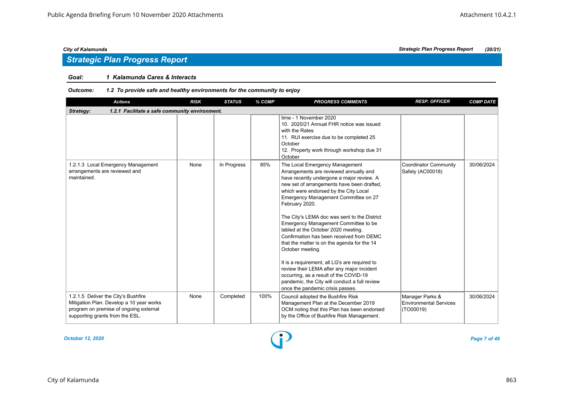### *Goal: 1 Kalamunda Cares & Interacts*

| <b>Actions</b>                                                                                                                                               | <b>RISK</b> | <b>STATUS</b> | % COMP | <b>PROGRESS COMMENTS</b>                                                                                                                                                                                                                                                                                                                                                                                                                                                                                                                                                                                                                                                                                                                           | <b>RESP. OFFICER</b>                                          | <b>COMP DATE</b> |  |  |  |  |
|--------------------------------------------------------------------------------------------------------------------------------------------------------------|-------------|---------------|--------|----------------------------------------------------------------------------------------------------------------------------------------------------------------------------------------------------------------------------------------------------------------------------------------------------------------------------------------------------------------------------------------------------------------------------------------------------------------------------------------------------------------------------------------------------------------------------------------------------------------------------------------------------------------------------------------------------------------------------------------------------|---------------------------------------------------------------|------------------|--|--|--|--|
| Strategy:<br>1.2.1 Facilitate a safe community environment.                                                                                                  |             |               |        |                                                                                                                                                                                                                                                                                                                                                                                                                                                                                                                                                                                                                                                                                                                                                    |                                                               |                  |  |  |  |  |
|                                                                                                                                                              |             |               |        | time - 1 November 2020<br>10. 2020/21 Annual FHR notice was issued<br>with the Rates<br>11. RUI exercise due to be completed 25<br>October<br>12. Property work through workshop due 31<br>October                                                                                                                                                                                                                                                                                                                                                                                                                                                                                                                                                 |                                                               |                  |  |  |  |  |
| 1.2.1.3 Local Emergency Management<br>arrangements are reviewed and<br>maintained.                                                                           | None        | In Progress   | 85%    | The Local Emergency Management<br>Arrangements are reviewed annually and<br>have recently undergone a major review. A<br>new set of arrangements have been drafted,<br>which were endorsed by the City Local<br>Emergency Management Committee on 27<br>February 2020.<br>The City's LEMA doc was sent to the District<br>Emergency Management Committee to be<br>tabled at the October 2020 meeting.<br>Confirmation has been received from DEMC<br>that the matter is on the agenda for the 14<br>October meeting.<br>It is a requirement, all LG's are required to<br>review their LEMA after any major incident<br>occurring, as a result of the COVID-19<br>pandemic, the City will conduct a full review<br>once the pandemic crisis passes. | Coordinator Community<br>Safety (AC00018)                     | 30/06/2024       |  |  |  |  |
| 1.2.1.5 Deliver the City's Bushfire<br>Mitigation Plan. Develop a 10 year works<br>program on premise of ongoing external<br>supporting grants from the ESL. | None        | Completed     | 100%   | Council adopted the Bushfire Risk<br>Management Plan at the December 2019<br>OCM noting that this Plan has been endorsed<br>by the Office of Bushfire Risk Management.                                                                                                                                                                                                                                                                                                                                                                                                                                                                                                                                                                             | Manager Parks &<br><b>Environmental Services</b><br>(TO00019) | 30/06/2024       |  |  |  |  |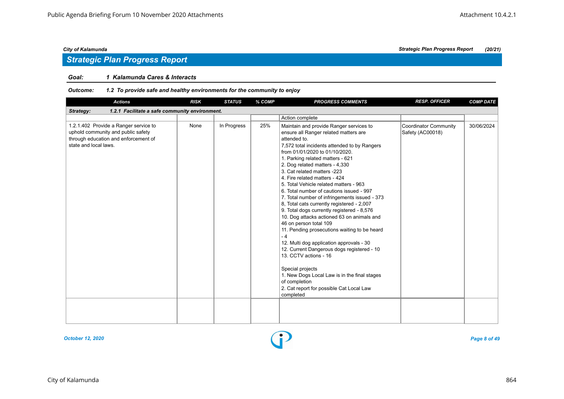# *Strategic Plan Progress Report*

### *Goal: 1 Kalamunda Cares & Interacts*

| <b>Actions</b>                                                                                                                               | <b>RISK</b> | <b>STATUS</b> | % COMP | <b>PROGRESS COMMENTS</b>                                                                                                                                                                                                                                                                                                                                                                                                                                                                                                                                                                                                                                                                                                                                                                                                                                                                                                                                     | <b>RESP. OFFICER</b>                             | <b>COMP DATE</b> |
|----------------------------------------------------------------------------------------------------------------------------------------------|-------------|---------------|--------|--------------------------------------------------------------------------------------------------------------------------------------------------------------------------------------------------------------------------------------------------------------------------------------------------------------------------------------------------------------------------------------------------------------------------------------------------------------------------------------------------------------------------------------------------------------------------------------------------------------------------------------------------------------------------------------------------------------------------------------------------------------------------------------------------------------------------------------------------------------------------------------------------------------------------------------------------------------|--------------------------------------------------|------------------|
| 1.2.1 Facilitate a safe community environment.<br>Strategy:                                                                                  |             |               |        |                                                                                                                                                                                                                                                                                                                                                                                                                                                                                                                                                                                                                                                                                                                                                                                                                                                                                                                                                              |                                                  |                  |
|                                                                                                                                              |             |               |        | Action complete                                                                                                                                                                                                                                                                                                                                                                                                                                                                                                                                                                                                                                                                                                                                                                                                                                                                                                                                              |                                                  |                  |
| 1.2.1.402 Provide a Ranger service to<br>uphold community and public safety<br>through education and enforcement of<br>state and local laws. | None        | In Progress   | 25%    | Maintain and provide Ranger services to<br>ensure all Ranger related matters are<br>attended to.<br>7,572 total incidents attended to by Rangers<br>from 01/01/2020 to 01/10/2020.<br>1. Parking related matters - 621<br>2. Dog related matters - 4,330<br>3. Cat related matters -223<br>4. Fire related matters - 424<br>5. Total Vehicle related matters - 963<br>6. Total number of cautions issued - 997<br>7. Total number of infringements issued - 373<br>8, Total cats currently registered - 2,007<br>9. Total dogs currently registered - 8,576<br>10. Dog attacks actioned 63 on animals and<br>46 on person total 109<br>11. Pending prosecutions waiting to be heard<br>$-4$<br>12. Multi dog application approvals - 30<br>12. Current Dangerous dogs registered - 10<br>13. CCTV actions - 16<br>Special projects<br>1. New Dogs Local Law is in the final stages<br>of completion<br>2. Cat report for possible Cat Local Law<br>completed | <b>Coordinator Community</b><br>Safety (AC00018) | 30/06/2024       |
|                                                                                                                                              |             |               |        |                                                                                                                                                                                                                                                                                                                                                                                                                                                                                                                                                                                                                                                                                                                                                                                                                                                                                                                                                              |                                                  |                  |

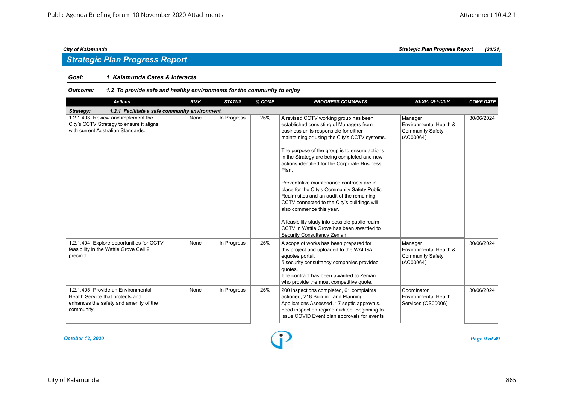### *Goal: 1 Kalamunda Cares & Interacts*

### *Outcome: 1.2 To provide safe and healthy environments for the community to enjoy*

| <b>Actions</b>                                                                                                                 | <b>RISK</b> | <b>STATUS</b> | % COMP | <b>PROGRESS COMMENTS</b>                                                                                                                                                                                                                                                                                                                                                                                                                                                                                                                                                                                                                                                                | <b>RESP. OFFICER</b>                                                      | <b>COMP DATE</b> |  |  |  |  |
|--------------------------------------------------------------------------------------------------------------------------------|-------------|---------------|--------|-----------------------------------------------------------------------------------------------------------------------------------------------------------------------------------------------------------------------------------------------------------------------------------------------------------------------------------------------------------------------------------------------------------------------------------------------------------------------------------------------------------------------------------------------------------------------------------------------------------------------------------------------------------------------------------------|---------------------------------------------------------------------------|------------------|--|--|--|--|
| 1.2.1 Facilitate a safe community environment.<br>Strategy:                                                                    |             |               |        |                                                                                                                                                                                                                                                                                                                                                                                                                                                                                                                                                                                                                                                                                         |                                                                           |                  |  |  |  |  |
| 1.2.1.403 Review and implement the<br>City's CCTV Strategy to ensure it aligns<br>with current Australian Standards.           | None        | In Progress   | 25%    | A revised CCTV working group has been<br>established consisting of Managers from<br>business units responsible for either<br>maintaining or using the City's CCTV systems.<br>The purpose of the group is to ensure actions<br>in the Strategy are being completed and new<br>actions identified for the Corporate Business<br>Plan.<br>Preventative maintenance contracts are in<br>place for the City's Community Safety Public<br>Realm sites and an audit of the remaining<br>CCTV connected to the City's buildings will<br>also commence this year.<br>A feasibility study into possible public realm<br>CCTV in Wattle Grove has been awarded to<br>Security Consultancy Zenian. | Manager<br>Environmental Health &<br><b>Community Safety</b><br>(AC00064) | 30/06/2024       |  |  |  |  |
| 1.2.1.404 Explore opportunities for CCTV<br>feasibility in the Wattle Grove Cell 9<br>precinct.                                | None        | In Progress   | 25%    | A scope of works has been prepared for<br>this project and uploaded to the WALGA<br>equotes portal.<br>5 security consultancy companies provided<br>quotes.<br>The contract has been awarded to Zenian<br>who provide the most competitive quote.                                                                                                                                                                                                                                                                                                                                                                                                                                       | Manager<br>Environmental Health &<br><b>Community Safety</b><br>(AC00064) | 30/06/2024       |  |  |  |  |
| 1.2.1.405 Provide an Environmental<br>Health Service that protects and<br>enhances the safety and amenity of the<br>community. | None        | In Progress   | 25%    | 200 inspections completed, 61 complaints<br>actioned, 218 Building and Planning<br>Applications Assessed, 17 septic approvals.<br>Food inspection regime audited. Beginning to<br>issue COVID Event plan approvals for events                                                                                                                                                                                                                                                                                                                                                                                                                                                           | Coordinator<br>Environmental Health<br>Services (CS00006)                 | 30/06/2024       |  |  |  |  |

*October 12, 2020 Page 9 of 49*

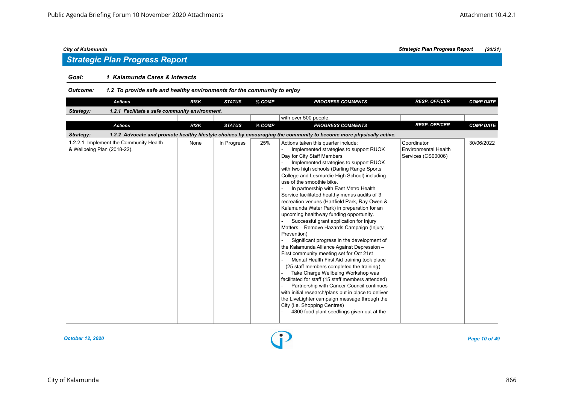# *Strategic Plan Progress Report*

### *Goal: 1 Kalamunda Cares & Interacts*

| <b>Actions</b>                                                        | <b>RISK</b> | <b>STATUS</b> | % COMP | <b>PROGRESS COMMENTS</b>                                                                                                                                                                                                                                                                                                                                                                                                                                                                                                                                                                                                                                                                                                                                                                                                                                                                                                                                                                                                                                                                                                                                                                          | <b>RESP. OFFICER</b>                                             | <b>COMP DATE</b> |  |  |  |  |  |
|-----------------------------------------------------------------------|-------------|---------------|--------|---------------------------------------------------------------------------------------------------------------------------------------------------------------------------------------------------------------------------------------------------------------------------------------------------------------------------------------------------------------------------------------------------------------------------------------------------------------------------------------------------------------------------------------------------------------------------------------------------------------------------------------------------------------------------------------------------------------------------------------------------------------------------------------------------------------------------------------------------------------------------------------------------------------------------------------------------------------------------------------------------------------------------------------------------------------------------------------------------------------------------------------------------------------------------------------------------|------------------------------------------------------------------|------------------|--|--|--|--|--|
| Strategy:<br>1.2.1 Facilitate a safe community environment.           |             |               |        |                                                                                                                                                                                                                                                                                                                                                                                                                                                                                                                                                                                                                                                                                                                                                                                                                                                                                                                                                                                                                                                                                                                                                                                                   |                                                                  |                  |  |  |  |  |  |
|                                                                       |             |               |        | with over 500 people.                                                                                                                                                                                                                                                                                                                                                                                                                                                                                                                                                                                                                                                                                                                                                                                                                                                                                                                                                                                                                                                                                                                                                                             |                                                                  |                  |  |  |  |  |  |
| <b>Actions</b>                                                        | <b>RISK</b> | <b>STATUS</b> | % COMP | <b>PROGRESS COMMENTS</b>                                                                                                                                                                                                                                                                                                                                                                                                                                                                                                                                                                                                                                                                                                                                                                                                                                                                                                                                                                                                                                                                                                                                                                          | <b>RESP. OFFICER</b>                                             | <b>COMP DATE</b> |  |  |  |  |  |
| Strategy:                                                             |             |               |        | 1.2.2 Advocate and promote healthy lifestyle choices by encouraging the community to become more physically active.                                                                                                                                                                                                                                                                                                                                                                                                                                                                                                                                                                                                                                                                                                                                                                                                                                                                                                                                                                                                                                                                               |                                                                  |                  |  |  |  |  |  |
| 1.2.2.1 Implement the Community Health<br>& Wellbeing Plan (2018-22). | None        | In Progress   | 25%    | Actions taken this quarter include:<br>Implemented strategies to support RUOK<br>Day for City Staff Members<br>Implemented strategies to support RUOK<br>with two high schools (Darling Range Sports<br>College and Lesmurdie High School) including<br>use of the smoothie bike.<br>In partnership with East Metro Health<br>Service facilitated healthy menus audits of 3<br>recreation venues (Hartfield Park, Ray Owen &<br>Kalamunda Water Park) in preparation for an<br>upcoming healthway funding opportunity.<br>Successful grant application for Injury<br>Matters - Remove Hazards Campaign (Injury<br>Prevention)<br>Significant progress in the development of<br>the Kalamunda Alliance Against Depression -<br>First community meeting set for Oct 21st<br>Mental Health First Aid training took place<br>- (25 staff members completed the training)<br>Take Charge Wellbeing Workshop was<br>facilitated for staff (15 staff members attended)<br>Partnership with Cancer Council continues<br>with initial research/plans put in place to deliver<br>the LiveLighter campaign message through the<br>City (i.e. Shopping Centres)<br>4800 food plant seedlings given out at the | Coordinator<br><b>Environmental Health</b><br>Services (CS00006) | 30/06/2022       |  |  |  |  |  |

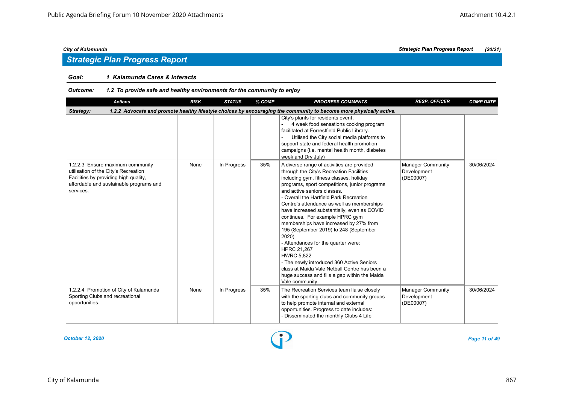### *Goal: 1 Kalamunda Cares & Interacts*

### *Outcome: 1.2 To provide safe and healthy environments for the community to enjoy*

| <b>Actions</b>                                                                                                                                                            | <b>RISK</b> | <b>STATUS</b> | % COMP | <b>PROGRESS COMMENTS</b>                                                                                                                                                                                                                                                                                                                                                                                                                                                                                                                                                                                                                                                                                                               | <b>RESP. OFFICER</b>                                 | <b>COMP DATE</b> |  |  |  |  |
|---------------------------------------------------------------------------------------------------------------------------------------------------------------------------|-------------|---------------|--------|----------------------------------------------------------------------------------------------------------------------------------------------------------------------------------------------------------------------------------------------------------------------------------------------------------------------------------------------------------------------------------------------------------------------------------------------------------------------------------------------------------------------------------------------------------------------------------------------------------------------------------------------------------------------------------------------------------------------------------------|------------------------------------------------------|------------------|--|--|--|--|
| 1.2.2 Advocate and promote healthy lifestyle choices by encouraging the community to become more physically active.<br>Strategy:                                          |             |               |        |                                                                                                                                                                                                                                                                                                                                                                                                                                                                                                                                                                                                                                                                                                                                        |                                                      |                  |  |  |  |  |
|                                                                                                                                                                           |             |               |        | City's plants for residents event.<br>4 week food sensations cooking program<br>facilitated at Forrestfield Public Library.<br>Utilised the City social media platforms to<br>support state and federal health promotion<br>campaigns (i.e. mental health month, diabetes<br>week and Dry July)                                                                                                                                                                                                                                                                                                                                                                                                                                        |                                                      |                  |  |  |  |  |
| 1.2.2.3 Ensure maximum community<br>utilisation of the City's Recreation<br>Facilities by providing high quality,<br>affordable and sustainable programs and<br>services. | None        | In Progress   | 35%    | A diverse range of activities are provided<br>through the City's Recreation Facilities<br>including gym, fitness classes, holiday<br>programs, sport competitions, junior programs<br>and active seniors classes.<br>- Overall the Hartfield Park Recreation<br>Centre's attendance as well as memberships<br>have increased substantially, even as COVID<br>continues. For example HPRC gym<br>memberships have increased by 27% from<br>195 (September 2019) to 248 (September<br>2020)<br>- Attendances for the quarter were:<br>HPRC 21,267<br><b>HWRC 5.822</b><br>- The newly introduced 360 Active Seniors<br>class at Maida Vale Netball Centre has been a<br>huge success and fills a gap within the Maida<br>Vale community. | <b>Manager Community</b><br>Development<br>(DE00007) | 30/06/2024       |  |  |  |  |
| 1.2.2.4 Promotion of City of Kalamunda<br>Sporting Clubs and recreational<br>opportunities.                                                                               | None        | In Progress   | 35%    | The Recreation Services team liaise closely<br>with the sporting clubs and community groups<br>to help promote internal and external<br>opportunities. Progress to date includes:<br>- Disseminated the monthly Clubs 4 Life                                                                                                                                                                                                                                                                                                                                                                                                                                                                                                           | Manager Community<br>Development<br>(DE00007)        | 30/06/2024       |  |  |  |  |

*October 12, 2020 Page 11 of 49*

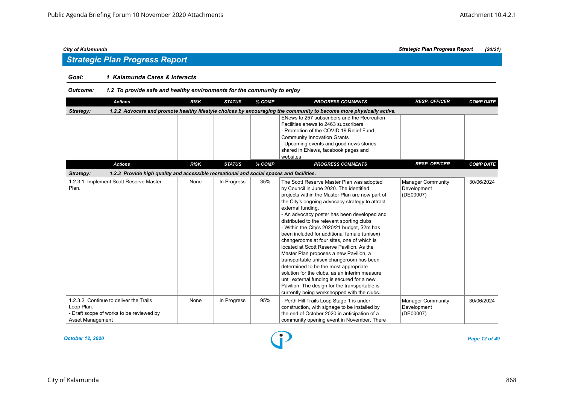# *Strategic Plan Progress Report*

### *Goal: 1 Kalamunda Cares & Interacts*

### *Outcome: 1.2 To provide safe and healthy environments for the community to enjoy*

| <b>Actions</b>                                                                                                       | <b>RISK</b> | <b>STATUS</b> | % COMP | <b>PROGRESS COMMENTS</b>                                                                                                                                                                                                                                                                                                                                                                                                                                                                                                                                                                                                                                                                                                                                                                                                               | <b>RESP. OFFICER</b>                                 | <b>COMP DATE</b> |
|----------------------------------------------------------------------------------------------------------------------|-------------|---------------|--------|----------------------------------------------------------------------------------------------------------------------------------------------------------------------------------------------------------------------------------------------------------------------------------------------------------------------------------------------------------------------------------------------------------------------------------------------------------------------------------------------------------------------------------------------------------------------------------------------------------------------------------------------------------------------------------------------------------------------------------------------------------------------------------------------------------------------------------------|------------------------------------------------------|------------------|
| Strategy:                                                                                                            |             |               |        | 1.2.2 Advocate and promote healthy lifestyle choices by encouraging the community to become more physically active.                                                                                                                                                                                                                                                                                                                                                                                                                                                                                                                                                                                                                                                                                                                    |                                                      |                  |
|                                                                                                                      |             |               |        | ENews to 257 subscribers and the Recreation<br>Facilities enews to 2463 subscribers<br>- Promotion of the COVID 19 Relief Fund<br><b>Community Innovation Grants</b><br>- Upcoming events and good news stories<br>shared in ENews, facebook pages and<br>websites                                                                                                                                                                                                                                                                                                                                                                                                                                                                                                                                                                     |                                                      |                  |
| <b>Actions</b>                                                                                                       | <b>RISK</b> | <b>STATUS</b> | % COMP | <b>PROGRESS COMMENTS</b>                                                                                                                                                                                                                                                                                                                                                                                                                                                                                                                                                                                                                                                                                                                                                                                                               | <b>RESP. OFFICER</b>                                 | <b>COMP DATE</b> |
| 1.2.3 Provide high quality and accessible recreational and social spaces and facilities.<br>Strategy:                |             |               |        |                                                                                                                                                                                                                                                                                                                                                                                                                                                                                                                                                                                                                                                                                                                                                                                                                                        |                                                      |                  |
| 1.2.3.1 Implement Scott Reserve Master<br>Plan.                                                                      | None        | In Progress   | 35%    | The Scott Reserve Master Plan was adopted<br>by Council in June 2020. The identified<br>projects within the Master Plan are now part of<br>the City's ongoing advocacy strategy to attract<br>external funding.<br>- An advocacy poster has been developed and<br>distributed to the relevant sporting clubs<br>- Within the City's 2020/21 budget, \$2m has<br>been included for additional female (unisex)<br>changerooms at four sites, one of which is<br>located at Scott Reserve Pavilion. As the<br>Master Plan proposes a new Pavilion, a<br>transportable unisex changeroom has been<br>determined to be the most appropriate<br>solution for the clubs, as an interim measure<br>until external funding is secured for a new<br>Pavilion. The design for the transportable is<br>currently being workshopped with the clubs. | <b>Manager Community</b><br>Development<br>(DE00007) | 30/06/2024       |
| 1.2.3.2 Continue to deliver the Trails<br>Loop Plan.<br>- Draft scope of works to be reviewed by<br>Asset Management | None        | In Progress   | 95%    | - Perth Hill Trails Loop Stage 1 is under<br>construction, with signage to be installed by<br>the end of October 2020 in anticipation of a<br>community opening event in November. There                                                                                                                                                                                                                                                                                                                                                                                                                                                                                                                                                                                                                                               | <b>Manager Community</b><br>Development<br>(DE00007) | 30/06/2024       |

*October 12, 2020 Page 12 of 49*

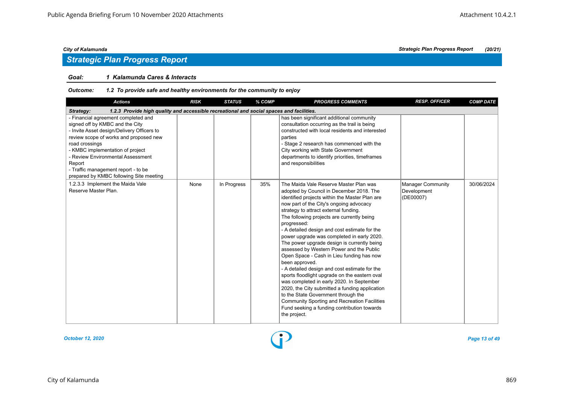# *Strategic Plan Progress Report*

### *Goal: 1 Kalamunda Cares & Interacts*

| <b>Actions</b>                                                                                                                                                                                                                                                                                                                                        | <b>RISK</b> | <b>STATUS</b> | % COMP | <b>PROGRESS COMMENTS</b>                                                                                                                                                                                                                                                                                                                                                                                                                                                                                                                                                                                                                                                                                                                                                                                                                                                                                     | <b>RESP. OFFICER</b>                                 | <b>COMP DATE</b> |
|-------------------------------------------------------------------------------------------------------------------------------------------------------------------------------------------------------------------------------------------------------------------------------------------------------------------------------------------------------|-------------|---------------|--------|--------------------------------------------------------------------------------------------------------------------------------------------------------------------------------------------------------------------------------------------------------------------------------------------------------------------------------------------------------------------------------------------------------------------------------------------------------------------------------------------------------------------------------------------------------------------------------------------------------------------------------------------------------------------------------------------------------------------------------------------------------------------------------------------------------------------------------------------------------------------------------------------------------------|------------------------------------------------------|------------------|
| 1.2.3 Provide high quality and accessible recreational and social spaces and facilities.<br>Strategy:                                                                                                                                                                                                                                                 |             |               |        |                                                                                                                                                                                                                                                                                                                                                                                                                                                                                                                                                                                                                                                                                                                                                                                                                                                                                                              |                                                      |                  |
| - Financial agreement completed and<br>signed off by KMBC and the City<br>- Invite Asset design/Delivery Officers to<br>review scope of works and proposed new<br>road crossings<br>- KMBC implementation of project<br>- Review Environmental Assessment<br>Report<br>- Traffic management report - to be<br>prepared by KMBC following Site meeting |             |               |        | has been significant additional community<br>consultation occurring as the trail is being<br>constructed with local residents and interested<br>parties<br>- Stage 2 research has commenced with the<br>City working with State Government<br>departments to identify priorities, timeframes<br>and responsibilities                                                                                                                                                                                                                                                                                                                                                                                                                                                                                                                                                                                         |                                                      |                  |
| 1.2.3.3 Implement the Maida Vale<br>Reserve Master Plan.                                                                                                                                                                                                                                                                                              | None        | In Progress   | 35%    | The Maida Vale Reserve Master Plan was<br>adopted by Council in December 2018. The<br>identified projects within the Master Plan are<br>now part of the City's ongoing advocacy<br>strategy to attract external funding.<br>The following projects are currently being<br>progressed:<br>- A detailed design and cost estimate for the<br>power upgrade was completed in early 2020.<br>The power upgrade design is currently being<br>assessed by Western Power and the Public<br>Open Space - Cash in Lieu funding has now<br>been approved.<br>- A detailed design and cost estimate for the<br>sports floodlight upgrade on the eastern oval<br>was completed in early 2020. In September<br>2020, the City submitted a funding application<br>to the State Government through the<br><b>Community Sporting and Recreation Facilities</b><br>Fund seeking a funding contribution towards<br>the project. | <b>Manager Community</b><br>Development<br>(DE00007) | 30/06/2024       |

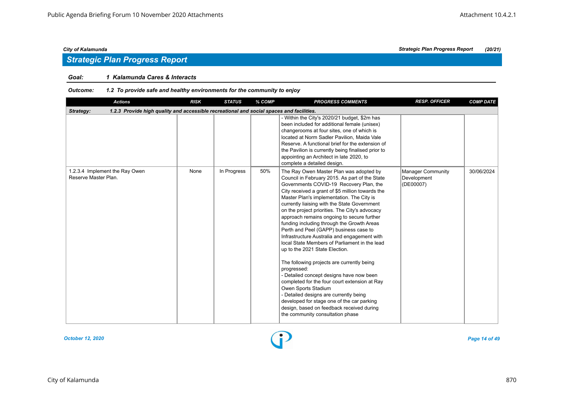# *Strategic Plan Progress Report*

### *Goal: 1 Kalamunda Cares & Interacts*

| <b>Actions</b>                                                                                        | <b>RISK</b> | <b>STATUS</b> | % COMP | <b>PROGRESS COMMENTS</b>                                                                                                                                                                                                                                                                                                                                                                                                                                                                                                                                                                                                                                                                                                                                                                                                                                                                                                                                                   | <b>RESP. OFFICER</b>                          | <b>COMP DATE</b> |
|-------------------------------------------------------------------------------------------------------|-------------|---------------|--------|----------------------------------------------------------------------------------------------------------------------------------------------------------------------------------------------------------------------------------------------------------------------------------------------------------------------------------------------------------------------------------------------------------------------------------------------------------------------------------------------------------------------------------------------------------------------------------------------------------------------------------------------------------------------------------------------------------------------------------------------------------------------------------------------------------------------------------------------------------------------------------------------------------------------------------------------------------------------------|-----------------------------------------------|------------------|
| 1.2.3 Provide high quality and accessible recreational and social spaces and facilities.<br>Strategy: |             |               |        |                                                                                                                                                                                                                                                                                                                                                                                                                                                                                                                                                                                                                                                                                                                                                                                                                                                                                                                                                                            |                                               |                  |
|                                                                                                       |             |               |        | - Within the City's 2020/21 budget, \$2m has<br>been included for additional female (unisex)<br>changerooms at four sites, one of which is<br>located at Norm Sadler Pavilion, Maida Vale<br>Reserve. A functional brief for the extension of<br>the Pavilion is currently being finalised prior to<br>appointing an Architect in late 2020, to<br>complete a detailed design.                                                                                                                                                                                                                                                                                                                                                                                                                                                                                                                                                                                             |                                               |                  |
| 1.2.3.4 Implement the Ray Owen<br>Reserve Master Plan.                                                | None        | In Progress   | 50%    | The Ray Owen Master Plan was adopted by<br>Council in February 2015. As part of the State<br>Governments COVID-19 Recovery Plan, the<br>City received a grant of \$5 million towards the<br>Master Plan's implementation. The City is<br>currently liaising with the State Government<br>on the project priorities. The City's advocacy<br>approach remains ongoing to secure further<br>funding including through the Growth Areas<br>Perth and Peel (GAPP) business case to<br>Infrastructure Australia and engagement with<br>local State Members of Parliament in the lead<br>up to the 2021 State Election.<br>The following projects are currently being<br>progressed:<br>- Detailed concept designs have now been<br>completed for the four court extension at Ray<br>Owen Sports Stadium<br>- Detailed designs are currently being<br>developed for stage one of the car parking<br>design, based on feedback received during<br>the community consultation phase | Manager Community<br>Development<br>(DE00007) | 30/06/2024       |

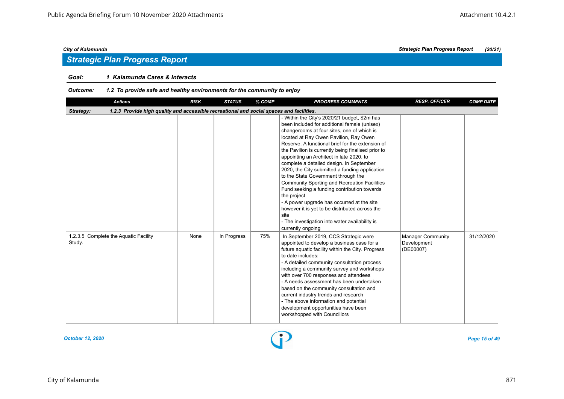# *Strategic Plan Progress Report*

### *Goal: 1 Kalamunda Cares & Interacts*

| <b>Actions</b>                                                                                        | <b>RISK</b> | <b>STATUS</b> | % COMP | <b>PROGRESS COMMENTS</b>                                                                                                                                                                                                                                                                                                                                                                                                                                                                                                                                                                                                                                                                                                                                                            | <b>RESP. OFFICER</b>                                 | <b>COMP DATE</b> |
|-------------------------------------------------------------------------------------------------------|-------------|---------------|--------|-------------------------------------------------------------------------------------------------------------------------------------------------------------------------------------------------------------------------------------------------------------------------------------------------------------------------------------------------------------------------------------------------------------------------------------------------------------------------------------------------------------------------------------------------------------------------------------------------------------------------------------------------------------------------------------------------------------------------------------------------------------------------------------|------------------------------------------------------|------------------|
| 1.2.3 Provide high quality and accessible recreational and social spaces and facilities.<br>Strategy: |             |               |        |                                                                                                                                                                                                                                                                                                                                                                                                                                                                                                                                                                                                                                                                                                                                                                                     |                                                      |                  |
|                                                                                                       |             |               |        | - Within the City's 2020/21 budget, \$2m has<br>been included for additional female (unisex)<br>changerooms at four sites, one of which is<br>located at Ray Owen Pavilion, Ray Owen<br>Reserve. A functional brief for the extension of<br>the Pavilion is currently being finalised prior to<br>appointing an Architect in late 2020, to<br>complete a detailed design. In September<br>2020, the City submitted a funding application<br>to the State Government through the<br><b>Community Sporting and Recreation Facilities</b><br>Fund seeking a funding contribution towards<br>the project<br>- A power upgrade has occurred at the site<br>however it is yet to be distributed across the<br>site<br>- The investigation into water availability is<br>currently ongoing |                                                      |                  |
| 1.2.3.5 Complete the Aquatic Facility<br>Study.                                                       | None        | In Progress   | 75%    | In September 2019, CCS Strategic were<br>appointed to develop a business case for a<br>future aquatic facility within the City. Progress<br>to date includes:<br>- A detailed community consultation process<br>including a community survey and workshops<br>with over 700 responses and attendees<br>- A needs assessment has been undertaken<br>based on the community consultation and<br>current industry trends and research<br>- The above information and potential<br>development opportunities have been<br>workshopped with Councillors                                                                                                                                                                                                                                  | <b>Manager Community</b><br>Development<br>(DE00007) | 31/12/2020       |

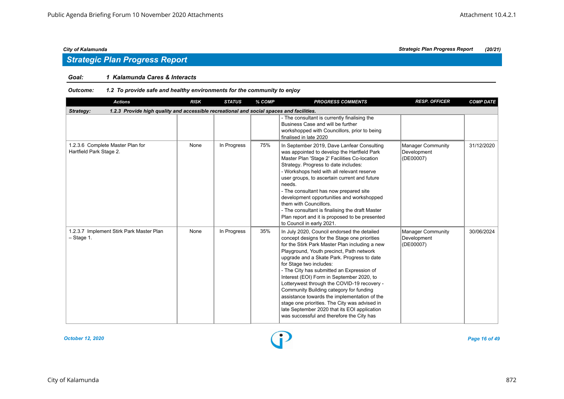### *Goal: 1 Kalamunda Cares & Interacts*

| <b>Actions</b>                                                                                        | <b>RISK</b> | <b>STATUS</b> | % COMP | <b>PROGRESS COMMENTS</b>                                                                                                                                                                                                                                                                                                                                                                                                                                                                                                                                                                                                                             | <b>RESP. OFFICER</b>                                 | <b>COMP DATE</b> |
|-------------------------------------------------------------------------------------------------------|-------------|---------------|--------|------------------------------------------------------------------------------------------------------------------------------------------------------------------------------------------------------------------------------------------------------------------------------------------------------------------------------------------------------------------------------------------------------------------------------------------------------------------------------------------------------------------------------------------------------------------------------------------------------------------------------------------------------|------------------------------------------------------|------------------|
| 1.2.3 Provide high quality and accessible recreational and social spaces and facilities.<br>Strategy: |             |               |        |                                                                                                                                                                                                                                                                                                                                                                                                                                                                                                                                                                                                                                                      |                                                      |                  |
|                                                                                                       |             |               |        | - The consultant is currently finalising the<br>Business Case and will be further<br>workshopped with Councillors, prior to being<br>finalised in late 2020                                                                                                                                                                                                                                                                                                                                                                                                                                                                                          |                                                      |                  |
| 1.2.3.6 Complete Master Plan for<br>Hartfield Park Stage 2.                                           | None        | In Progress   | 75%    | In September 2019, Dave Lanfear Consulting<br>was appointed to develop the Hartfield Park<br>Master Plan 'Stage 2' Facilities Co-location<br>Strategy. Progress to date includes:<br>- Workshops held with all relevant reserve<br>user groups, to ascertain current and future<br>needs.<br>- The consultant has now prepared site<br>development opportunities and workshopped<br>them with Councillors.<br>- The consultant is finalising the draft Master<br>Plan report and it is proposed to be presented<br>to Council in early 2021.                                                                                                         | Manager Community<br>Development<br>(DE00007)        | 31/12/2020       |
| 1.2.3.7 Implement Stirk Park Master Plan<br>$-$ Stage 1.                                              | None        | In Progress   | 35%    | In July 2020, Council endorsed the detailed<br>concept designs for the Stage one priorities<br>for the Stirk Park Master Plan including a new<br>Playground, Youth precinct, Path network<br>upgrade and a Skate Park. Progress to date<br>for Stage two includes:<br>- The City has submitted an Expression of<br>Interest (EOI) Form in September 2020, to<br>Lotterywest through the COVID-19 recovery -<br>Community Building category for funding<br>assistance towards the implementation of the<br>stage one priorities. The City was advised in<br>late September 2020 that its EOI application<br>was successful and therefore the City has | <b>Manager Community</b><br>Development<br>(DE00007) | 30/06/2024       |

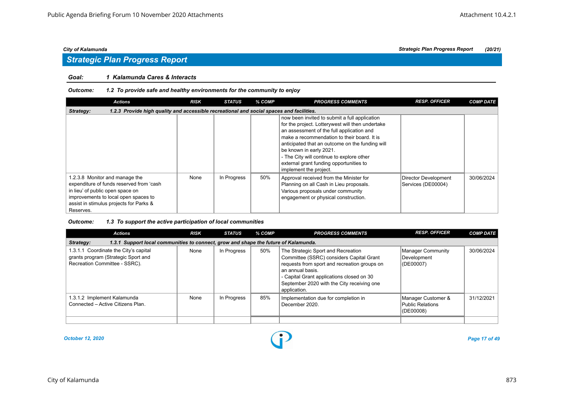### *Goal: 1 Kalamunda Cares & Interacts*

#### *Outcome: 1.2 To provide safe and healthy environments for the community to enjoy*

| <b>Actions</b>                                                                                                                                                                                                 | <b>RISK</b> | <b>STATUS</b> | % COMP | <b>PROGRESS COMMENTS</b>                                                                                                                                                                                                                                                                                                                                                                      | <b>RESP. OFFICER</b>                       | <b>COMP DATE</b> |
|----------------------------------------------------------------------------------------------------------------------------------------------------------------------------------------------------------------|-------------|---------------|--------|-----------------------------------------------------------------------------------------------------------------------------------------------------------------------------------------------------------------------------------------------------------------------------------------------------------------------------------------------------------------------------------------------|--------------------------------------------|------------------|
| 1.2.3 Provide high quality and accessible recreational and social spaces and facilities.<br>Strategy:                                                                                                          |             |               |        |                                                                                                                                                                                                                                                                                                                                                                                               |                                            |                  |
|                                                                                                                                                                                                                |             |               |        | now been invited to submit a full application<br>for the project. Lotterywest will then undertake<br>an assessment of the full application and<br>make a recommendation to their board. It is<br>anticipated that an outcome on the funding will<br>be known in early 2021.<br>- The City will continue to explore other<br>external grant funding opportunities to<br>implement the project. |                                            |                  |
| 1.2.3.8 Monitor and manage the<br>expenditure of funds reserved from 'cash<br>in lieu' of public open space on<br>improvements to local open spaces to<br>assist in stimulus projects for Parks &<br>Reserves. | None        | In Progress   | 50%    | Approval received from the Minister for<br>Planning on all Cash in Lieu proposals.<br>Various proposals under community<br>engagement or physical construction.                                                                                                                                                                                                                               | Director Development<br>Services (DE00004) | 30/06/2024       |

#### *Outcome: 1.3 To support the active participation of local communities*

| <b>Actions</b>                                                                                                | <b>RISK</b> | <b>STATUS</b> | % COMP | <b>PROGRESS COMMENTS</b>                                                                                                                                                                                                                                      | <b>RESP. OFFICER</b>                                | <b>COMP DATE</b> |
|---------------------------------------------------------------------------------------------------------------|-------------|---------------|--------|---------------------------------------------------------------------------------------------------------------------------------------------------------------------------------------------------------------------------------------------------------------|-----------------------------------------------------|------------------|
| 1.3.1 Support local communities to connect, grow and shape the future of Kalamunda.<br>Strategy:              |             |               |        |                                                                                                                                                                                                                                                               |                                                     |                  |
| 1.3.1.1 Coordinate the City's capital<br>grants program (Strategic Sport and<br>Recreation Committee - SSRC). | None        | In Progress   | 50%    | The Strategic Sport and Recreation<br>Committee (SSRC) considers Capital Grant<br>requests from sport and recreation groups on<br>an annual basis.<br>- Capital Grant applications closed on 30<br>September 2020 with the City receiving one<br>application. | Manager Community<br>Development<br>(DE00007)       | 30/06/2024       |
| 1.3.1.2 Implement Kalamunda<br>Connected - Active Citizens Plan.                                              | None        | In Progress   | 85%    | Implementation due for completion in<br>December 2020.                                                                                                                                                                                                        | Manager Customer &<br>Public Relations<br>(DE00008) | 31/12/2021       |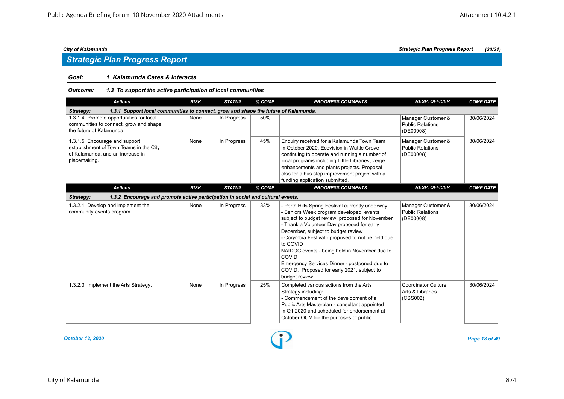# *Strategic Plan Progress Report*

### *Goal: 1 Kalamunda Cares & Interacts*

### *Outcome: 1.3 To support the active participation of local communities*

| <b>Actions</b>                                                                                                               | <b>RISK</b> | <b>STATUS</b> | % COMP | <b>PROGRESS COMMENTS</b>                                                                                                                                                                                                                                                                                                                                                                                                                                                       | <b>RESP. OFFICER</b>                                       | <b>COMP DATE</b> |
|------------------------------------------------------------------------------------------------------------------------------|-------------|---------------|--------|--------------------------------------------------------------------------------------------------------------------------------------------------------------------------------------------------------------------------------------------------------------------------------------------------------------------------------------------------------------------------------------------------------------------------------------------------------------------------------|------------------------------------------------------------|------------------|
| 1.3.1 Support local communities to connect, grow and shape the future of Kalamunda.<br>Strategy:                             |             |               |        |                                                                                                                                                                                                                                                                                                                                                                                                                                                                                |                                                            |                  |
| 1.3.1.4 Promote opportunities for local<br>communities to connect, grow and shape<br>the future of Kalamunda.                | None        | In Progress   | 50%    |                                                                                                                                                                                                                                                                                                                                                                                                                                                                                | Manager Customer &<br><b>Public Relations</b><br>(DE00008) | 30/06/2024       |
| 1.3.1.5 Encourage and support<br>establishment of Town Teams in the City<br>of Kalamunda, and an increase in<br>placemaking. | None        | In Progress   | 45%    | Enquiry received for a Kalamunda Town Team<br>in October 2020. Ecovision in Wattle Grove<br>continuing to operate and running a number of<br>local programs including Little Libraries, verge<br>enhancements and plants projects. Proposal<br>also for a bus stop improvement project with a<br>funding application submitted.                                                                                                                                                | Manager Customer &<br><b>Public Relations</b><br>(DE00008) | 30/06/2024       |
| <b>Actions</b>                                                                                                               | <b>RISK</b> | <b>STATUS</b> | % COMP | <b>PROGRESS COMMENTS</b>                                                                                                                                                                                                                                                                                                                                                                                                                                                       | <b>RESP. OFFICER</b>                                       | <b>COMP DATE</b> |
| 1.3.2 Encourage and promote active participation in social and cultural events.<br>Strategy:                                 |             |               |        |                                                                                                                                                                                                                                                                                                                                                                                                                                                                                |                                                            |                  |
| 1.3.2.1 Develop and implement the<br>community events program.                                                               | None        | In Progress   | 33%    | - Perth Hills Spring Festival currently underway<br>- Seniors Week program developed, events<br>subject to budget review, proposed for November<br>- Thank a Volunteer Day proposed for early<br>December, subject to budget review<br>- Corymbia Festival - proposed to not be held due<br>to COVID<br>NAIDOC events - being held in November due to<br>COVID<br>Emergency Services Dinner - postponed due to<br>COVID. Proposed for early 2021, subject to<br>budget review. | Manager Customer &<br><b>Public Relations</b><br>(DE00008) | 30/06/2024       |
| 1.3.2.3 Implement the Arts Strategy.                                                                                         | None        | In Progress   | 25%    | Completed various actions from the Arts<br>Strategy including:<br>- Commencement of the development of a<br>Public Arts Masterplan - consultant appointed<br>in Q1 2020 and scheduled for endorsement at<br>October OCM for the purposes of public                                                                                                                                                                                                                             | Coordinator Culture.<br>Arts & Libraries<br>(CSS002)       | 30/06/2024       |

*October 12, 2020 Page 18 of 49*

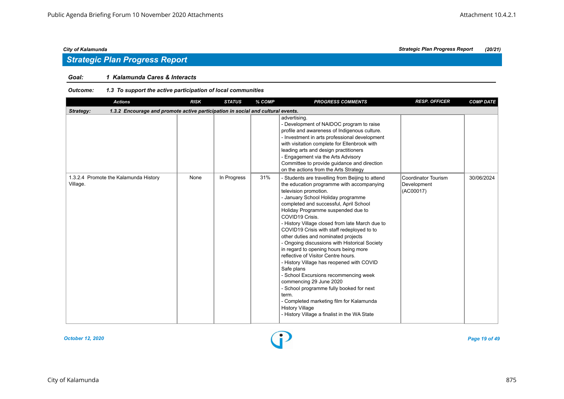### *Goal: 1 Kalamunda Cares & Interacts*

### *Outcome: 1.3 To support the active participation of local communities*

| <b>Actions</b>                                                                               | <b>RISK</b> | <b>STATUS</b> | % COMP | <b>PROGRESS COMMENTS</b>                                                                                                                                                                                                                                                                                                                                                                                                                                                                                                                                                                                                                                                                                                                                                                                                                           | <b>RESP. OFFICER</b>                                   | <b>COMP DATE</b> |
|----------------------------------------------------------------------------------------------|-------------|---------------|--------|----------------------------------------------------------------------------------------------------------------------------------------------------------------------------------------------------------------------------------------------------------------------------------------------------------------------------------------------------------------------------------------------------------------------------------------------------------------------------------------------------------------------------------------------------------------------------------------------------------------------------------------------------------------------------------------------------------------------------------------------------------------------------------------------------------------------------------------------------|--------------------------------------------------------|------------------|
| 1.3.2 Encourage and promote active participation in social and cultural events.<br>Strategy: |             |               |        |                                                                                                                                                                                                                                                                                                                                                                                                                                                                                                                                                                                                                                                                                                                                                                                                                                                    |                                                        |                  |
|                                                                                              |             |               |        | advertising.<br>- Development of NAIDOC program to raise<br>profile and awareness of Indigenous culture.<br>- Investment in arts professional development<br>with visitation complete for Ellenbrook with<br>leading arts and design practitioners<br>- Engagement via the Arts Advisory<br>Committee to provide guidance and direction<br>on the actions from the Arts Strategy                                                                                                                                                                                                                                                                                                                                                                                                                                                                   |                                                        |                  |
| 1.3.2.4 Promote the Kalamunda History<br>Village.                                            | None        | In Progress   | 31%    | - Students are travelling from Beijing to attend<br>the education programme with accompanying<br>television promotion.<br>- January School Holiday programme<br>completed and successful, April School<br>Holiday Programme suspended due to<br>COVID19 Crisis.<br>- History Village closed from late March due to<br>COVID19 Crisis with staff redeployed to to<br>other duties and nominated projects<br>- Ongoing discussions with Historical Society<br>in regard to opening hours being more<br>reflective of Visitor Centre hours.<br>- History Village has reopened with COVID<br>Safe plans<br>- School Excursions recommencing week<br>commencing 29 June 2020<br>- School programme fully booked for next<br>term.<br>- Completed marketing film for Kalamunda<br><b>History Village</b><br>- History Village a finalist in the WA State | <b>Coordinator Tourism</b><br>Development<br>(AC00017) | 30/06/2024       |



*City of Kalamunda Strategic Plan Progress Report (20/21)*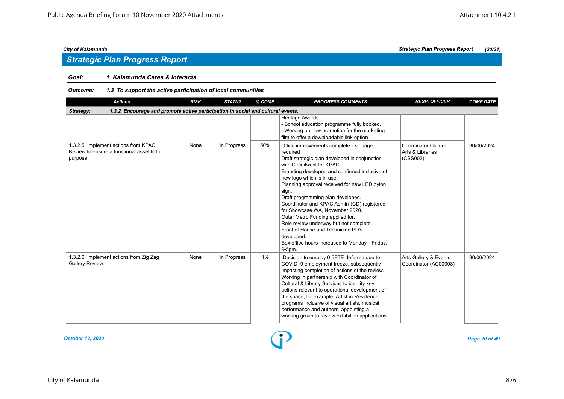### *Goal: 1 Kalamunda Cares & Interacts*

### *Outcome: 1.3 To support the active participation of local communities*

| <b>Actions</b>                                                                                 | <b>RISK</b> | <b>STATUS</b> | % COMP | <b>PROGRESS COMMENTS</b>                                                                                                                                                                                                                                                                                                                                                                                                                                                                                                                                                                     | <b>RESP. OFFICER</b>                                 | <b>COMP DATE</b> |
|------------------------------------------------------------------------------------------------|-------------|---------------|--------|----------------------------------------------------------------------------------------------------------------------------------------------------------------------------------------------------------------------------------------------------------------------------------------------------------------------------------------------------------------------------------------------------------------------------------------------------------------------------------------------------------------------------------------------------------------------------------------------|------------------------------------------------------|------------------|
| 1.3.2 Encourage and promote active participation in social and cultural events.<br>Strategy:   |             |               |        |                                                                                                                                                                                                                                                                                                                                                                                                                                                                                                                                                                                              |                                                      |                  |
|                                                                                                |             |               |        | Heritage Awards<br>- School education programme fully booked.<br>- Working on new promotion for the marketing<br>film to offer a downloadable link option.                                                                                                                                                                                                                                                                                                                                                                                                                                   |                                                      |                  |
| 1.3.2.5 Implement actions from KPAC<br>Review to ensure a functional asset fit for<br>purpose. | None        | In Progress   | 50%    | Office improvements complete - signage<br>required<br>Draft strategic plan developed in conjunction<br>with Circuitwest for KPAC.<br>Branding developed and confirmed inclusive of<br>new logo which is in use.<br>Planning approval received for new LED pylon<br>sign.<br>Draft programming plan developed.<br>Coordinator and KPAC Admin (CD) registered<br>for Showcase WA. November 2020.<br>Outer Metro Funding applied for.<br>Role review underway but not complete.<br>Front of House and Technician PD's<br>developed.<br>Box office hours increased to Monday - Friday,<br>9-5pm. | Coordinator Culture,<br>Arts & Libraries<br>(CSS002) | 30/06/2024       |
| 1.3.2.6 Implement actions from Zig Zag<br>Gallery Review.                                      | None        | In Progress   | 1%     | Decision to employ 0.5FTE deferred due to<br>COVID19 employment freeze, subsequently<br>impacting completion of actions of the review.<br>Working in partnership with Coordinator of<br>Cultural & Library Services to identify key<br>actions relevant to operational development of<br>the space, for example, Artist in Residence<br>programs inclusive of visual artists, musical<br>performance and authors, appointing a<br>working group to review exhibition applications                                                                                                            | Arts Gallery & Events<br>Coordinator (AC00008)       | 30/06/2024       |

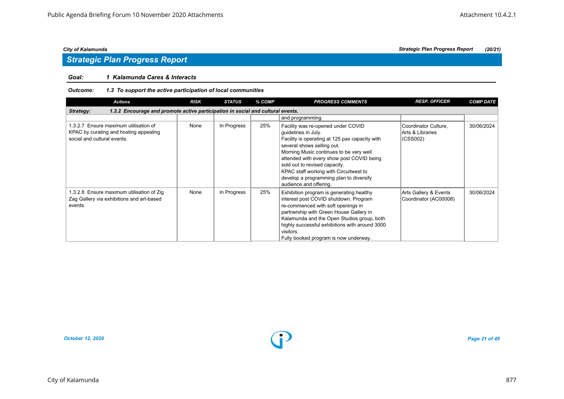### *Goal: 1 Kalamunda Cares & Interacts*

### *Outcome: 1.3 To support the active participation of local communities*

| <b>Actions</b>                                                                                                 | <b>RISK</b> | <b>STATUS</b> | % COMP | <b>PROGRESS COMMENTS</b>                                                                                                                                                                                                                                                                                                                                                          | <b>RESP. OFFICER</b>                                 | <b>COMP DATE</b> |
|----------------------------------------------------------------------------------------------------------------|-------------|---------------|--------|-----------------------------------------------------------------------------------------------------------------------------------------------------------------------------------------------------------------------------------------------------------------------------------------------------------------------------------------------------------------------------------|------------------------------------------------------|------------------|
| 1.3.2 Encourage and promote active participation in social and cultural events.<br>Strategy:                   |             |               |        |                                                                                                                                                                                                                                                                                                                                                                                   |                                                      |                  |
|                                                                                                                |             |               |        | and programming.                                                                                                                                                                                                                                                                                                                                                                  |                                                      |                  |
| 1.3.2.7 Ensure maximum utilisation of<br>KPAC by curating and hosting appealing<br>social and cultural events. | None        | In Progress   | 25%    | Facility was re-opened under COVID<br>guidelines in July.<br>Facility is operating at 125 pax capacity with<br>several shows selling out.<br>Morning Music continues to be very well<br>attended with every show post COVID being<br>sold out to revised capacity.<br>KPAC staff working with Circuitwest to<br>develop a programming plan to diversify<br>audience and offering. | Coordinator Culture,<br>Arts & Libraries<br>(CSS002) | 30/06/2024       |
| 1.3.2.8 Ensure maximum utilisation of Zig<br>Zag Gallery via exhibitions and art-based<br>events.              | None        | In Progress   | 25%    | Exhibition program is generating healthy<br>interest post COVID shutdown. Program<br>re-commenced with soft openings in<br>partnership with Green House Gallery in<br>Kalamunda and the Open Studios group, both<br>highly successful exhibitions with around 3000<br>visitors.<br>Fully booked program is now underway.                                                          | Arts Gallery & Events<br>Coordinator (AC00008)       | 30/06/2024       |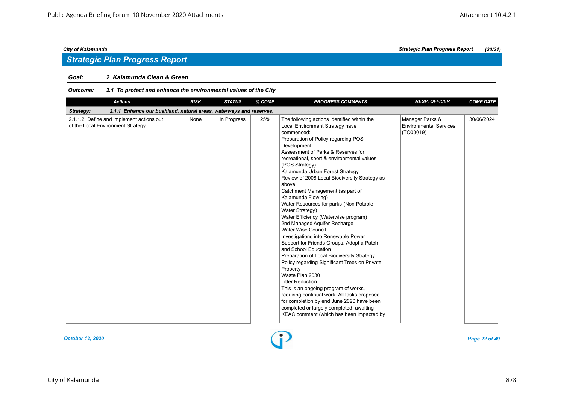# *Strategic Plan Progress Report*

### *Goal: 2 Kalamunda Clean & Green*

| Outcome: | 2.1 To protect and enhance the environmental values of the City |
|----------|-----------------------------------------------------------------|
|----------|-----------------------------------------------------------------|

| <b>Actions</b>                                                                  | <b>RISK</b> | <b>STATUS</b> | % COMP | <b>PROGRESS COMMENTS</b>                                                                                                                                                                                                                                                                                                                                                                                                                                                                                                                                                                                                                                                                                                                                                                                                                                                                                                                                                                                                                                                            | <b>RESP. OFFICER</b>                                          | <b>COMP DATE</b> |
|---------------------------------------------------------------------------------|-------------|---------------|--------|-------------------------------------------------------------------------------------------------------------------------------------------------------------------------------------------------------------------------------------------------------------------------------------------------------------------------------------------------------------------------------------------------------------------------------------------------------------------------------------------------------------------------------------------------------------------------------------------------------------------------------------------------------------------------------------------------------------------------------------------------------------------------------------------------------------------------------------------------------------------------------------------------------------------------------------------------------------------------------------------------------------------------------------------------------------------------------------|---------------------------------------------------------------|------------------|
| 2.1.1 Enhance our bushland, natural areas, waterways and reserves.<br>Strategy: |             |               |        |                                                                                                                                                                                                                                                                                                                                                                                                                                                                                                                                                                                                                                                                                                                                                                                                                                                                                                                                                                                                                                                                                     |                                                               |                  |
| 2.1.1.2 Define and implement actions out<br>of the Local Environment Strategy.  | None        | In Progress   | 25%    | The following actions identified within the<br>Local Environment Strategy have<br>commenced:<br>Preparation of Policy regarding POS<br>Development<br>Assessment of Parks & Reserves for<br>recreational, sport & environmental values<br>(POS Strategy)<br>Kalamunda Urban Forest Strategy<br>Review of 2008 Local Biodiversity Strategy as<br>above<br>Catchment Management (as part of<br>Kalamunda Flowing)<br>Water Resources for parks (Non Potable<br>Water Strategy)<br>Water Efficiency (Waterwise program)<br>2nd Managed Aquifer Recharge<br><b>Water Wise Council</b><br>Investigations into Renewable Power<br>Support for Friends Groups, Adopt a Patch<br>and School Education<br>Preparation of Local Biodiversity Strategy<br>Policy regarding Significant Trees on Private<br>Property<br>Waste Plan 2030<br><b>Litter Reduction</b><br>This is an ongoing program of works,<br>requiring continual work. All tasks proposed<br>for completion by end June 2020 have been<br>completed or largely completed, awaiting<br>KEAC comment (which has been impacted by | Manager Parks &<br><b>Environmental Services</b><br>(TO00019) | 30/06/2024       |

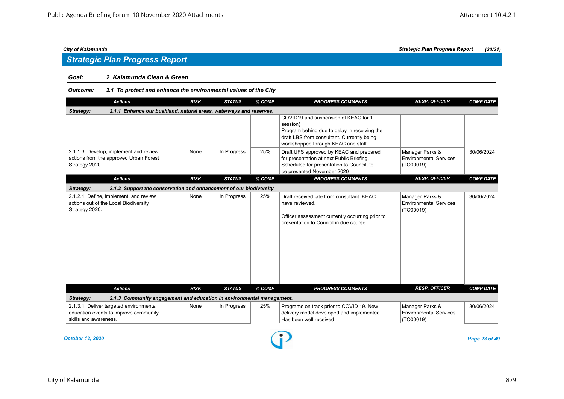# *Strategic Plan Progress Report*

#### *Goal: 2 Kalamunda Clean & Green*

#### *Outcome: 2.1 To protect and enhance the environmental values of the City*

| <b>Actions</b>                                                                                           | <b>RISK</b> | <b>STATUS</b> | % COMP | <b>PROGRESS COMMENTS</b>                                                                                                                                                             | <b>RESP. OFFICER</b>                                          | <b>COMP DATE</b> |
|----------------------------------------------------------------------------------------------------------|-------------|---------------|--------|--------------------------------------------------------------------------------------------------------------------------------------------------------------------------------------|---------------------------------------------------------------|------------------|
| 2.1.1 Enhance our bushland, natural areas, waterways and reserves.<br>Strategy:                          |             |               |        |                                                                                                                                                                                      |                                                               |                  |
|                                                                                                          |             |               |        | COVID19 and suspension of KEAC for 1<br>session)<br>Program behind due to delay in receiving the<br>draft LBS from consultant. Currently being<br>workshopped through KEAC and staff |                                                               |                  |
| 2.1.1.3 Develop, implement and review<br>actions from the approved Urban Forest<br>Strategy 2020.        | None        | In Progress   | 25%    | Draft UFS approved by KEAC and prepared<br>for presentation at next Public Briefing.<br>Scheduled for presentation to Council, to<br>be presented November 2020                      | Manager Parks &<br><b>Environmental Services</b><br>(TO00019) | 30/06/2024       |
| <b>Actions</b>                                                                                           | <b>RISK</b> | <b>STATUS</b> | % COMP | <b>PROGRESS COMMENTS</b>                                                                                                                                                             | <b>RESP. OFFICER</b>                                          | <b>COMP DATE</b> |
| 2.1.2 Support the conservation and enhancement of our biodiversity.<br>Strategy:                         |             |               |        |                                                                                                                                                                                      |                                                               |                  |
| 2.1.2.1 Define, implement, and review<br>actions out of the Local Biodiversity<br>Strategy 2020.         | None        | In Progress   | 25%    | Draft received late from consultant. KEAC<br>have reviewed.<br>Officer assessment currently occurring prior to<br>presentation to Council in due course                              | Manager Parks &<br><b>Environmental Services</b><br>(TO00019) | 30/06/2024       |
| <b>Actions</b>                                                                                           | <b>RISK</b> | <b>STATUS</b> | % COMP | <b>PROGRESS COMMENTS</b>                                                                                                                                                             | <b>RESP. OFFICER</b>                                          | <b>COMP DATE</b> |
| 2.1.3 Community engagement and education in environmental management.<br>Strategy:                       |             |               |        |                                                                                                                                                                                      |                                                               |                  |
| 2.1.3.1 Deliver targeted environmental<br>education events to improve community<br>skills and awareness. | None        | In Progress   | 25%    | Programs on track prior to COVID 19. New<br>delivery model developed and implemented.<br>Has been well received                                                                      | Manager Parks &<br><b>Environmental Services</b><br>(TO00019) | 30/06/2024       |

*October 12, 2020 Page 23 of 49*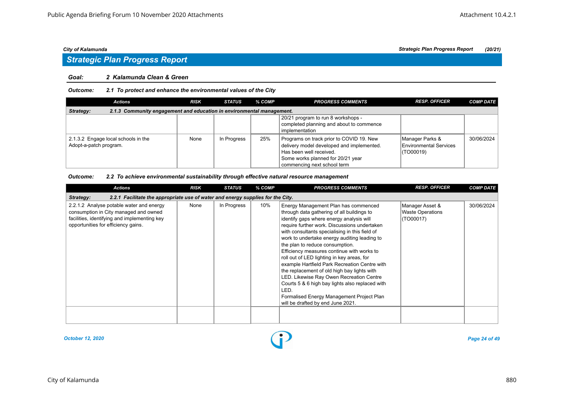### *Strategic Plan Progress Report*

#### *Goal: 2 Kalamunda Clean & Green*

#### *Outcome: 2.1 To protect and enhance the environmental values of the City*

| Actions                                                                            | <b>RISK</b> | <b>STATUS</b> | % COMP | <b>PROGRESS COMMENTS</b>                                                                                                                                                             | <b>RESP. OFFICER</b>                                          | <b>COMP DATE</b> |  |  |  |
|------------------------------------------------------------------------------------|-------------|---------------|--------|--------------------------------------------------------------------------------------------------------------------------------------------------------------------------------------|---------------------------------------------------------------|------------------|--|--|--|
| 2.1.3 Community engagement and education in environmental management.<br>Strategy: |             |               |        |                                                                                                                                                                                      |                                                               |                  |  |  |  |
|                                                                                    |             |               |        | 20/21 program to run 8 workshops -<br>completed planning and about to commence<br>implementation                                                                                     |                                                               |                  |  |  |  |
| 2.1.3.2 Engage local schools in the<br>Adopt-a-patch program.                      | None        | In Progress   | 25%    | Programs on track prior to COVID 19. New<br>delivery model developed and implemented.<br>Has been well received.<br>Some works planned for 20/21 year<br>commencing next school term | Manager Parks &<br><b>Environmental Services</b><br>(TO00019) | 30/06/2024       |  |  |  |

#### *Outcome: 2.2 To achieve environmental sustainability through effective natural resource management*

| <b>Actions</b>                                                                                                                                                           | <b>RISK</b> | <b>STATUS</b> | % COMP | <b>PROGRESS COMMENTS</b>                                                                                                                                                                                                                                                                                                                                                                                                                                                                                                                                                                                                                                                                                 | <b>RESP. OFFICER</b>                                    | <b>COMP DATE</b> |  |  |  |  |
|--------------------------------------------------------------------------------------------------------------------------------------------------------------------------|-------------|---------------|--------|----------------------------------------------------------------------------------------------------------------------------------------------------------------------------------------------------------------------------------------------------------------------------------------------------------------------------------------------------------------------------------------------------------------------------------------------------------------------------------------------------------------------------------------------------------------------------------------------------------------------------------------------------------------------------------------------------------|---------------------------------------------------------|------------------|--|--|--|--|
| 2.2.1 Facilitate the appropriate use of water and energy supplies for the City.<br>Strategy:                                                                             |             |               |        |                                                                                                                                                                                                                                                                                                                                                                                                                                                                                                                                                                                                                                                                                                          |                                                         |                  |  |  |  |  |
| 2.2.1.2 Analyse potable water and energy<br>consumption in City managed and owned<br>facilities, identifying and implementing key<br>opportunities for efficiency gains. | None        | In Progress   | 10%    | Energy Management Plan has commenced<br>through data gathering of all buildings to<br>identify gaps where energy analysis will<br>require further work. Discussions undertaken<br>with consultants specialising in this field of<br>work to undertake energy auditing leading to<br>the plan to reduce consumption.<br>Efficiency measures continue with works to<br>roll out of LED lighting in key areas, for<br>example Hartfield Park Recreation Centre with<br>the replacement of old high bay lights with<br>LED. Likewise Ray Owen Recreation Centre<br>Courts 5 & 6 high bay lights also replaced with<br>LED.<br>Formalised Energy Management Project Plan<br>will be drafted by end June 2021. | Manager Asset &<br><b>Waste Operations</b><br>(TO00017) | 30/06/2024       |  |  |  |  |
|                                                                                                                                                                          |             |               |        |                                                                                                                                                                                                                                                                                                                                                                                                                                                                                                                                                                                                                                                                                                          |                                                         |                  |  |  |  |  |

*October 12, 2020 Page 24 of 49*

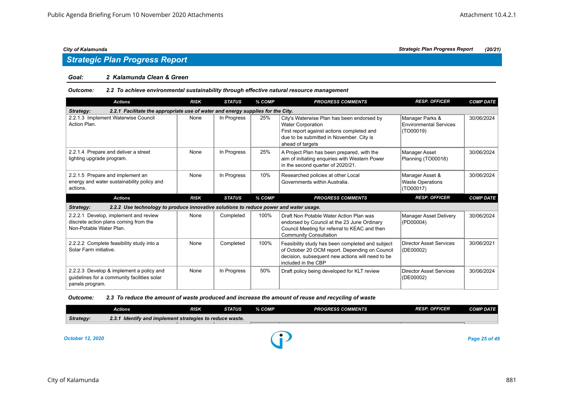# *Strategic Plan Progress Report*

#### *Goal: 2 Kalamunda Clean & Green*

#### *Outcome: 2.2 To achieve environmental sustainability through effective natural resource management*

| <b>Actions</b>                                                                                            | <b>RISK</b> | <b>STATUS</b> | % COMP | <b>PROGRESS COMMENTS</b>                                                                                                                                                             | <b>RESP. OFFICER</b>                                    | <b>COMP DATE</b> |  |  |  |  |
|-----------------------------------------------------------------------------------------------------------|-------------|---------------|--------|--------------------------------------------------------------------------------------------------------------------------------------------------------------------------------------|---------------------------------------------------------|------------------|--|--|--|--|
| 2.2.1 Facilitate the appropriate use of water and energy supplies for the City.<br>Strategy:              |             |               |        |                                                                                                                                                                                      |                                                         |                  |  |  |  |  |
| 2.2.1.3 Implement Waterwise Council<br>Action Plan.                                                       | None        | In Progress   | 25%    | City's Waterwise Plan has been endorsed by<br><b>Water Corporation</b><br>First report against actions completed and<br>due to be submitted in November. City is<br>ahead of targets | Manager Parks &<br>Environmental Services<br>(TO00019)  | 30/06/2024       |  |  |  |  |
| 2.2.1.4 Prepare and deliver a street<br>lighting upgrade program.                                         | None        | In Progress   | 25%    | A Project Plan has been prepared, with the<br>aim of initiating enquiries with Western Power<br>in the second quarter of 2020/21.                                                    | Manager Asset<br>Planning (TO00018)                     | 30/06/2024       |  |  |  |  |
| 2.2.1.5 Prepare and implement an<br>energy and water sustainability policy and<br>actions.                | None        | In Progress   | 10%    | Researched policies at other Local<br>Governments within Australia.                                                                                                                  | Manager Asset &<br><b>Waste Operations</b><br>(TO00017) | 30/06/2024       |  |  |  |  |
|                                                                                                           |             |               |        |                                                                                                                                                                                      |                                                         |                  |  |  |  |  |
| <b>Actions</b>                                                                                            | <b>RISK</b> | <b>STATUS</b> | % COMP | <b>PROGRESS COMMENTS</b>                                                                                                                                                             | <b>RESP. OFFICER</b>                                    | <b>COMP DATE</b> |  |  |  |  |
| 2.2.2 Use technology to produce innovative solutions to reduce power and water usage.<br>Strategy:        |             |               |        |                                                                                                                                                                                      |                                                         |                  |  |  |  |  |
| 2.2.2.1 Develop, implement and review<br>discrete action plans coming from the<br>Non-Potable Water Plan. | None        | Completed     | 100%   | Draft Non Potable Water Action Plan was<br>endorsed by Council at the 23 June Ordinary<br>Council Meeting for referral to KEAC and then<br><b>Community Consultation</b>             | Manager Asset Delivery<br>(PD00004)                     | 30/06/2024       |  |  |  |  |
| 2.2.2.2 Complete feasibility study into a<br>Solar Farm initiative.                                       | None        | Completed     | 100%   | Feasibility study has been completed and subject<br>of October 20 OCM report. Depending on Council<br>decision, subsequent new actions will need to be<br>included in the CBP        | Director Asset Services<br>(DE00002)                    | 30/06/2021       |  |  |  |  |

### *Outcome: 2.3 To reduce the amount of waste produced and increase the amount of reuse and recycling of waste*

|           | Actions                                                  | RISK | STATUS | % COMP | <b>PROGRESS COMMENTS</b> | <b>RESP. OFFICER</b> | <b>COMP DATE</b> |
|-----------|----------------------------------------------------------|------|--------|--------|--------------------------|----------------------|------------------|
| Strategy: | 2.3.1 Identify and implement strategies to reduce waste. |      |        |        |                          |                      |                  |
|           |                                                          |      |        |        |                          |                      |                  |

*October 12, 2020 Page 25 of 49*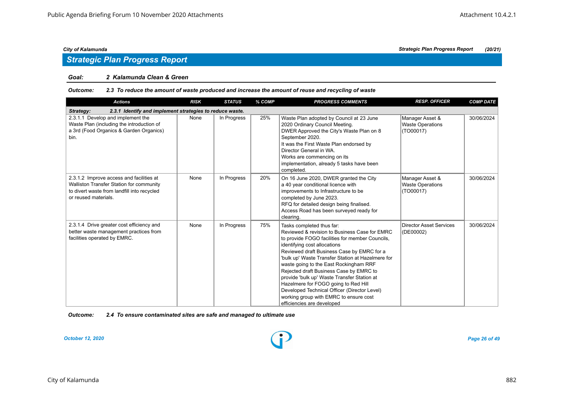### *Strategic Plan Progress Report*

#### *Goal: 2 Kalamunda Clean & Green*

#### *Outcome: 2.3 To reduce the amount of waste produced and increase the amount of reuse and recycling of waste*

| <b>Actions</b>                                                                                                                                              | <b>RISK</b> | <b>STATUS</b> | % COMP | <b>PROGRESS COMMENTS</b>                                                                                                                                                                                                                                                                                                                                                                                                                                                                                                                                             | <b>RESP. OFFICER</b>                                    | <b>COMP DATE</b> |  |  |  |  |
|-------------------------------------------------------------------------------------------------------------------------------------------------------------|-------------|---------------|--------|----------------------------------------------------------------------------------------------------------------------------------------------------------------------------------------------------------------------------------------------------------------------------------------------------------------------------------------------------------------------------------------------------------------------------------------------------------------------------------------------------------------------------------------------------------------------|---------------------------------------------------------|------------------|--|--|--|--|
| 2.3.1 Identify and implement strategies to reduce waste.<br>Strategy:                                                                                       |             |               |        |                                                                                                                                                                                                                                                                                                                                                                                                                                                                                                                                                                      |                                                         |                  |  |  |  |  |
| 2.3.1.1 Develop and implement the<br>Waste Plan (including the introduction of<br>a 3rd (Food Organics & Garden Organics)<br>bin.                           | None        | In Progress   | 25%    | Waste Plan adopted by Council at 23 June<br>2020 Ordinary Council Meeting.<br>DWER Approved the City's Waste Plan on 8<br>September 2020.<br>It was the First Waste Plan endorsed by<br>Director General in WA.<br>Works are commencing on its<br>implementation, already 5 tasks have been<br>completed.                                                                                                                                                                                                                                                            | Manager Asset &<br><b>Waste Operations</b><br>(TO00017) | 30/06/2024       |  |  |  |  |
| 2.3.1.2 Improve access and facilities at<br>Walliston Transfer Station for community<br>to divert waste from landfill into recycled<br>or reused materials. | None        | In Progress   | 20%    | On 16 June 2020, DWER granted the City<br>a 40 year conditional licence with<br>improvements to Infrastructure to be<br>completed by June 2023.<br>RFQ for detailed design being finalised.<br>Access Road has been surveyed ready for<br>clearing.                                                                                                                                                                                                                                                                                                                  | Manager Asset &<br><b>Waste Operations</b><br>(TO00017) | 30/06/2024       |  |  |  |  |
| 2.3.1.4 Drive greater cost efficiency and<br>better waste management practices from<br>facilities operated by EMRC.                                         | None        | In Progress   | 75%    | Tasks completed thus far:<br>Reviewed & revision to Business Case for EMRC<br>to provide FOGO facilities for member Councils,<br>identifying cost allocations<br>Reviewed draft Business Case by EMRC for a<br>'bulk up' Waste Transfer Station at Hazelmere for<br>waste going to the East Rockingham RRF<br>Rejected draft Business Case by EMRC to<br>provide 'bulk up' Waste Transfer Station at<br>Hazelmere for FOGO going to Red Hill<br>Developed Technical Officer (Director Level)<br>working group with EMRC to ensure cost<br>efficiencies are developed | <b>Director Asset Services</b><br>(DE00002)             | 30/06/2024       |  |  |  |  |

*Outcome: 2.4 To ensure contaminated sites are safe and managed to ultimate use*

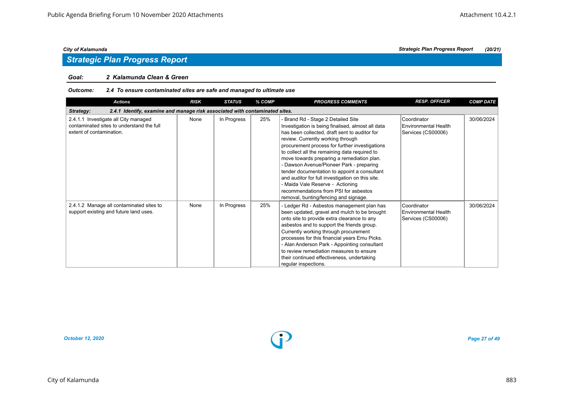# *Strategic Plan Progress Report*

#### *Goal: 2 Kalamunda Clean & Green*

#### *Outcome: 2.4 To ensure contaminated sites are safe and managed to ultimate use*

| <b>Actions</b>                                                                                                | <b>RISK</b> | <b>STATUS</b> | % COMP | <b>PROGRESS COMMENTS</b>                                                                                                                                                                                                                                                                                                                                                                                                                                                                                                                                                                             | <b>RESP. OFFICER</b>                                             | <b>COMP DATE</b> |  |  |  |
|---------------------------------------------------------------------------------------------------------------|-------------|---------------|--------|------------------------------------------------------------------------------------------------------------------------------------------------------------------------------------------------------------------------------------------------------------------------------------------------------------------------------------------------------------------------------------------------------------------------------------------------------------------------------------------------------------------------------------------------------------------------------------------------------|------------------------------------------------------------------|------------------|--|--|--|
| 2.4.1 Identify, examine and manage risk associated with contaminated sites.<br>Strategy:                      |             |               |        |                                                                                                                                                                                                                                                                                                                                                                                                                                                                                                                                                                                                      |                                                                  |                  |  |  |  |
| 2.4.1.1 Investigate all City managed<br>contaminated sites to understand the full<br>extent of contamination. | None        | In Progress   | 25%    | - Brand Rd - Stage 2 Detailed Site<br>Investigation is being finalised, almost all data<br>has been collected, draft sent to auditor for<br>review. Currently working through<br>procurement process for further investigations<br>to collect all the remaining data required to<br>move towards preparing a remediation plan.<br>- Dawson Avenue/Pioneer Park - preparing<br>tender documentation to appoint a consultant<br>and auditor for full investigation on this site.<br>- Maida Vale Reserve - Actioning<br>recommendations from PSI for asbestos<br>removal, bunting/fencing and signage. | Coordinator<br><b>Environmental Health</b><br>Services (CS00006) | 30/06/2024       |  |  |  |
| 2.4.1.2 Manage all contaminated sites to<br>support existing and future land uses.                            | None        | In Progress   | 25%    | - Ledger Rd - Asbestos management plan has<br>been updated, gravel and mulch to be brought<br>onto site to provide extra clearance to any<br>asbestos and to support the friends group.<br>Currently working through procurement<br>processes for this financial years Emu Picks.<br>- Alan Anderson Park - Appointing consultant<br>to review remediation measures to ensure<br>their continued effectiveness, undertaking<br>regular inspections.                                                                                                                                                  | Coordinator<br><b>Environmental Health</b><br>Services (CS00006) | 30/06/2024       |  |  |  |

*October 12, 2020 Page 27 of 49*

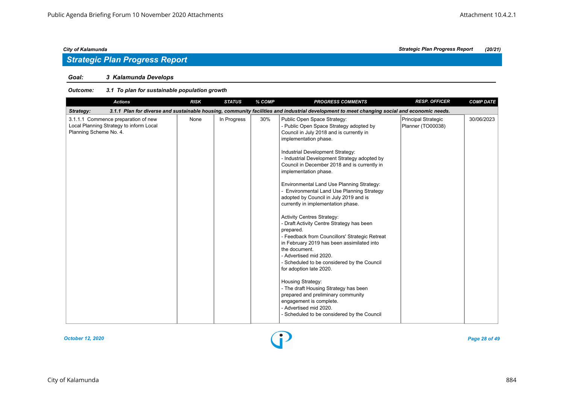# *Strategic Plan Progress Report*

### *Goal: 3 Kalamunda Develops*

| <b>Actions</b>                                                                                                                                           | <b>RISK</b> | <b>STATUS</b> | % COMP | <b>PROGRESS COMMENTS</b>                                                                                                                                                                                                                                                                                                                                                                                                                                                                                                                                                                                                                                                                                                                                                                                                                                                                                                                                                                                        | <b>RESP. OFFICER</b>                     | <b>COMP DATE</b> |  |  |  |
|----------------------------------------------------------------------------------------------------------------------------------------------------------|-------------|---------------|--------|-----------------------------------------------------------------------------------------------------------------------------------------------------------------------------------------------------------------------------------------------------------------------------------------------------------------------------------------------------------------------------------------------------------------------------------------------------------------------------------------------------------------------------------------------------------------------------------------------------------------------------------------------------------------------------------------------------------------------------------------------------------------------------------------------------------------------------------------------------------------------------------------------------------------------------------------------------------------------------------------------------------------|------------------------------------------|------------------|--|--|--|
| 3.1.1 Plan for diverse and sustainable housing, community facilities and industrial development to meet changing social and economic needs.<br>Strategy: |             |               |        |                                                                                                                                                                                                                                                                                                                                                                                                                                                                                                                                                                                                                                                                                                                                                                                                                                                                                                                                                                                                                 |                                          |                  |  |  |  |
| 3.1.1.1 Commence preparation of new<br>Local Planning Strategy to inform Local<br>Planning Scheme No. 4.                                                 | None        | In Progress   | 30%    | Public Open Space Strategy:<br>- Public Open Space Strategy adopted by<br>Council in July 2018 and is currently in<br>implementation phase.<br>Industrial Development Strategy:<br>- Industrial Development Strategy adopted by<br>Council in December 2018 and is currently in<br>implementation phase.<br>Environmental Land Use Planning Strategy:<br>- Environmental Land Use Planning Strategy<br>adopted by Council in July 2019 and is<br>currently in implementation phase.<br><b>Activity Centres Strategy:</b><br>- Draft Activity Centre Strategy has been<br>prepared.<br>- Feedback from Councillors' Strategic Retreat<br>in February 2019 has been assimilated into<br>the document.<br>- Advertised mid 2020.<br>- Scheduled to be considered by the Council<br>for adoption late 2020.<br>Housing Strategy:<br>- The draft Housing Strategy has been<br>prepared and preliminary community<br>engagement is complete.<br>- Advertised mid 2020.<br>- Scheduled to be considered by the Council | Principal Strategic<br>Planner (TO00038) | 30/06/2023       |  |  |  |

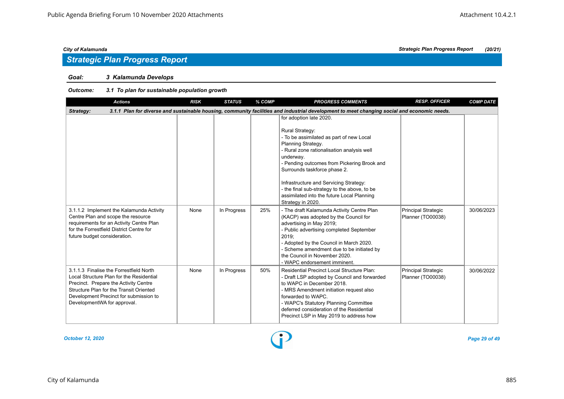# *Strategic Plan Progress Report*

### *Goal: 3 Kalamunda Develops*

### *Outcome: 3.1 To plan for sustainable population growth*

| <b>Actions</b>                                                                                                                                                                                                                                   | <b>RISK</b> | <b>STATUS</b> | % COMP | <b>PROGRESS COMMENTS</b>                                                                                                                                                                                                                                                                                                                                                                                                                                                 | <b>RESP. OFFICER</b>                            | <b>COMP DATE</b> |  |  |  |
|--------------------------------------------------------------------------------------------------------------------------------------------------------------------------------------------------------------------------------------------------|-------------|---------------|--------|--------------------------------------------------------------------------------------------------------------------------------------------------------------------------------------------------------------------------------------------------------------------------------------------------------------------------------------------------------------------------------------------------------------------------------------------------------------------------|-------------------------------------------------|------------------|--|--|--|
| 3.1.1 Plan for diverse and sustainable housing, community facilities and industrial development to meet changing social and economic needs.<br>Strategy:                                                                                         |             |               |        |                                                                                                                                                                                                                                                                                                                                                                                                                                                                          |                                                 |                  |  |  |  |
| 3.1.1.2 Implement the Kalamunda Activity                                                                                                                                                                                                         | None        | In Progress   | 25%    | for adoption late 2020.<br><b>Rural Strategy:</b><br>- To be assimilated as part of new Local<br>Planning Strategy.<br>- Rural zone rationalisation analysis well<br>underway.<br>- Pending outcomes from Pickering Brook and<br>Surrounds taskforce phase 2.<br>Infrastructure and Servicing Strategy:<br>- the final sub-strategy to the above, to be<br>assimilated into the future Local Planning<br>Strategy in 2020.<br>- The draft Kalamunda Activity Centre Plan | <b>Principal Strategic</b>                      | 30/06/2023       |  |  |  |
| Centre Plan and scope the resource<br>requirements for an Activity Centre Plan<br>for the Forrestfield District Centre for<br>future budget consideration.                                                                                       |             |               |        | (KACP) was adopted by the Council for<br>advertising in May 2019;<br>- Public advertising completed September<br>2019:<br>- Adopted by the Council in March 2020.<br>- Scheme amendment due to be initiated by<br>the Council in November 2020.<br>- WAPC endorsement imminent.                                                                                                                                                                                          | Planner (TO00038)                               |                  |  |  |  |
| 3.1.1.3 Finalise the Forrestfield North<br>Local Structure Plan for the Residential<br>Precinct. Prepare the Activity Centre<br>Structure Plan for the Transit Oriented<br>Development Precinct for submission to<br>DevelopmentWA for approval. | None        | In Progress   | 50%    | Residential Precinct Local Structure Plan:<br>- Draft LSP adopted by Council and forwarded<br>to WAPC in December 2018.<br>- MRS Amendment initiation request also<br>forwarded to WAPC.<br>- WAPC's Statutory Planning Committee<br>deferred consideration of the Residential<br>Precinct LSP in May 2019 to address how                                                                                                                                                | <b>Principal Strategic</b><br>Planner (TO00038) | 30/06/2022       |  |  |  |

*October 12, 2020 Page 29 of 49*

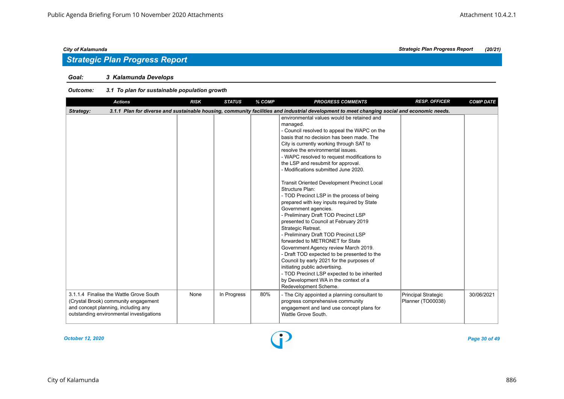# *Strategic Plan Progress Report*

### *Goal: 3 Kalamunda Develops*

| <b>Actions</b>                                                                                                                                                     | <b>RISK</b> | <b>STATUS</b> | % COMP | <b>PROGRESS COMMENTS</b>                                                                                                                                                                                                                                                                                                                                                                                                                                                                                                                                                                                                                                                                                                                                                                                                                                                                                                                                                                                                                | <b>RESP. OFFICER</b>                     | <b>COMP DATE</b> |
|--------------------------------------------------------------------------------------------------------------------------------------------------------------------|-------------|---------------|--------|-----------------------------------------------------------------------------------------------------------------------------------------------------------------------------------------------------------------------------------------------------------------------------------------------------------------------------------------------------------------------------------------------------------------------------------------------------------------------------------------------------------------------------------------------------------------------------------------------------------------------------------------------------------------------------------------------------------------------------------------------------------------------------------------------------------------------------------------------------------------------------------------------------------------------------------------------------------------------------------------------------------------------------------------|------------------------------------------|------------------|
| Strategy:                                                                                                                                                          |             |               |        | 3.1.1 Plan for diverse and sustainable housing, community facilities and industrial development to meet changing social and economic needs.                                                                                                                                                                                                                                                                                                                                                                                                                                                                                                                                                                                                                                                                                                                                                                                                                                                                                             |                                          |                  |
|                                                                                                                                                                    |             |               |        | environmental values would be retained and<br>managed.<br>- Council resolved to appeal the WAPC on the<br>basis that no decision has been made. The<br>City is currently working through SAT to<br>resolve the environmental issues.<br>- WAPC resolved to request modifications to<br>the LSP and resubmit for approval.<br>- Modifications submitted June 2020.<br><b>Transit Oriented Development Precinct Local</b><br>Structure Plan:<br>- TOD Precinct LSP in the process of being<br>prepared with key inputs required by State<br>Government agencies.<br>- Preliminary Draft TOD Precinct LSP<br>presented to Council at February 2019<br>Strategic Retreat.<br>- Preliminary Draft TOD Precinct LSP<br>forwarded to METRONET for State<br>Government Agency review March 2019.<br>- Draft TOD expected to be presented to the<br>Council by early 2021 for the purposes of<br>initiating public advertising.<br>- TOD Precinct LSP expected to be inherited<br>by Development WA in the context of a<br>Redevelopment Scheme. |                                          |                  |
| 3.1.1.4 Finalise the Wattle Grove South<br>(Crystal Brook) community engagement<br>and concept planning, including any<br>outstanding environmental investigations | None        | In Progress   | 80%    | - The City appointed a planning consultant to<br>progress comprehensive community<br>engagement and land use concept plans for<br>Wattle Grove South.                                                                                                                                                                                                                                                                                                                                                                                                                                                                                                                                                                                                                                                                                                                                                                                                                                                                                   | Principal Strategic<br>Planner (TO00038) | 30/06/2021       |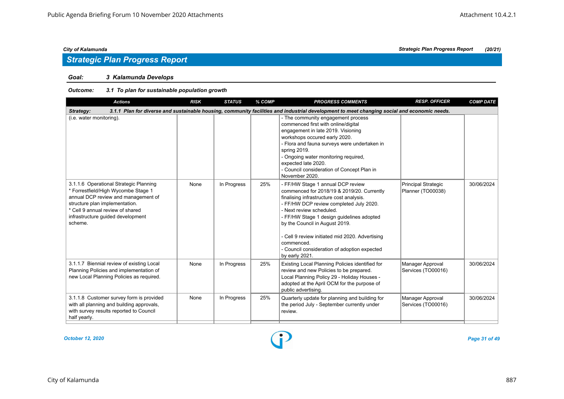### *Goal: 3 Kalamunda Develops*

| <b>Actions</b>                                                                                                                                                                                                                             | <b>RISK</b> | <b>STATUS</b> | % COMP | <b>PROGRESS COMMENTS</b>                                                                                                                                                                                                                                                                                                                                                                                            | <b>RESP. OFFICER</b>                            | <b>COMP DATE</b> |  |  |  |  |
|--------------------------------------------------------------------------------------------------------------------------------------------------------------------------------------------------------------------------------------------|-------------|---------------|--------|---------------------------------------------------------------------------------------------------------------------------------------------------------------------------------------------------------------------------------------------------------------------------------------------------------------------------------------------------------------------------------------------------------------------|-------------------------------------------------|------------------|--|--|--|--|
| 3.1.1 Plan for diverse and sustainable housing, community facilities and industrial development to meet changing social and economic needs.<br>Strategy:                                                                                   |             |               |        |                                                                                                                                                                                                                                                                                                                                                                                                                     |                                                 |                  |  |  |  |  |
| (i.e. water monitoring).                                                                                                                                                                                                                   |             |               |        | - The community engagement process<br>commenced first with online/digital<br>engagement in late 2019. Visioning<br>workshops occured early 2020.<br>- Flora and fauna surveys were undertaken in<br>spring 2019.<br>- Ongoing water monitoring required,<br>expected late 2020.<br>- Council consideration of Concept Plan in<br>November 2020.                                                                     |                                                 |                  |  |  |  |  |
| 3.1.1.6 Operational Strategic Planning<br>* Forrestfield/High Wycombe Stage 1<br>annual DCP review and management of<br>structure plan implementation.<br>* Cell 9 annual review of shared<br>infrastructure guided development<br>scheme. | None        | In Progress   | 25%    | - FF/HW Stage 1 annual DCP review<br>commenced for 2018/19 & 2019/20. Currently<br>finalising infrastructure cost analysis.<br>- FF/HW DCP review completed July 2020.<br>- Next review scheduled.<br>- FF/HW Stage 1 design guidelines adopted<br>by the Council in August 2019.<br>- Cell 9 review initiated mid 2020. Advertising<br>commenced<br>- Council consideration of adoption expected<br>by early 2021. | <b>Principal Strategic</b><br>Planner (TO00038) | 30/06/2024       |  |  |  |  |
| 3.1.1.7 Biennial review of existing Local<br>Planning Policies and implementation of<br>new Local Planning Policies as required.                                                                                                           | None        | In Progress   | 25%    | Existing Local Planning Policies identified for<br>review and new Policies to be prepared.<br>Local Planning Policy 29 - Holiday Houses -<br>adopted at the April OCM for the purpose of<br>public advertising.                                                                                                                                                                                                     | Manager Approval<br>Services (TO00016)          | 30/06/2024       |  |  |  |  |
| 3.1.1.8 Customer survey form is provided<br>with all planning and building approvals,<br>with survey results reported to Council<br>half yearly.                                                                                           | None        | In Progress   | 25%    | Quarterly update for planning and building for<br>the period July - September currently under<br>review.                                                                                                                                                                                                                                                                                                            | Manager Approval<br>Services (TO00016)          | 30/06/2024       |  |  |  |  |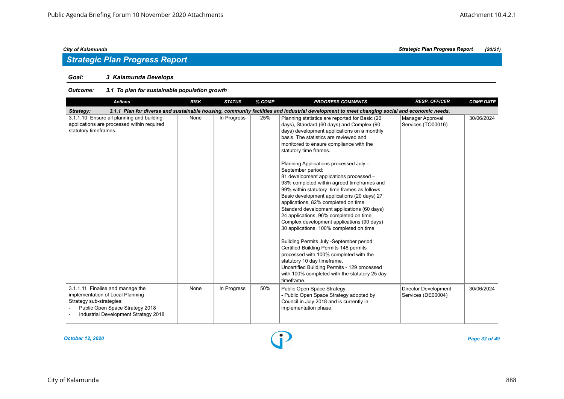### *Goal: 3 Kalamunda Develops*

| <b>Actions</b>                                                                                                                                                              | <b>RISK</b> | <b>STATUS</b> | % COMP | <b>PROGRESS COMMENTS</b>                                                                                                                                                                                                                                                                                                                                                                                                                                                                                                                                                                                                                                                                                                                                                                                                                                                                                                                                                                                                | <b>RESP. OFFICER</b>                              | <b>COMP DATE</b> |
|-----------------------------------------------------------------------------------------------------------------------------------------------------------------------------|-------------|---------------|--------|-------------------------------------------------------------------------------------------------------------------------------------------------------------------------------------------------------------------------------------------------------------------------------------------------------------------------------------------------------------------------------------------------------------------------------------------------------------------------------------------------------------------------------------------------------------------------------------------------------------------------------------------------------------------------------------------------------------------------------------------------------------------------------------------------------------------------------------------------------------------------------------------------------------------------------------------------------------------------------------------------------------------------|---------------------------------------------------|------------------|
| Strategy:                                                                                                                                                                   |             |               |        | 3.1.1 Plan for diverse and sustainable housing, community facilities and industrial development to meet changing social and economic needs.                                                                                                                                                                                                                                                                                                                                                                                                                                                                                                                                                                                                                                                                                                                                                                                                                                                                             |                                                   |                  |
| 3.1.1.10 Ensure all planning and building<br>applications are processed within required<br>statutory timeframes.                                                            | None        | In Progress   | 25%    | Planning statistics are reported for Basic (20<br>days), Standard (60 days) and Complex (90<br>days) development applications on a monthly<br>basis. The statistics are reviewed and<br>monitored to ensure compliance with the<br>statutory time frames.<br>Planning Applications processed July -<br>September period:<br>81 development applications processed -<br>93% completed within agreed timeframes and<br>99% within statutory time frames as follows:<br>Basic development applications (20 days) 27<br>applications, 82% completed on time<br>Standard development applications (60 days)<br>24 applications, 96% completed on time<br>Complex development applications (90 days)<br>30 applications, 100% completed on time<br>Building Permits July -September period:<br>Certified Building Permits 148 permits<br>processed with 100% completed with the<br>statutory 10 day timeframe.<br>Uncertified Building Permits - 129 processed<br>with 100% completed with the statutory 25 day<br>timeframe. | Manager Approval<br>Services (TO00016)            | 30/06/2024       |
| 3.1.1.11 Finalise and manage the<br>implementation of Local Planning<br>Strategy sub-strategies:<br>Public Open Space Strategy 2018<br>Industrial Development Strategy 2018 | None        | In Progress   | 50%    | Public Open Space Strategy:<br>- Public Open Space Strategy adopted by<br>Council in July 2018 and is currently in<br>implementation phase.                                                                                                                                                                                                                                                                                                                                                                                                                                                                                                                                                                                                                                                                                                                                                                                                                                                                             | <b>Director Development</b><br>Services (DE00004) | 30/06/2024       |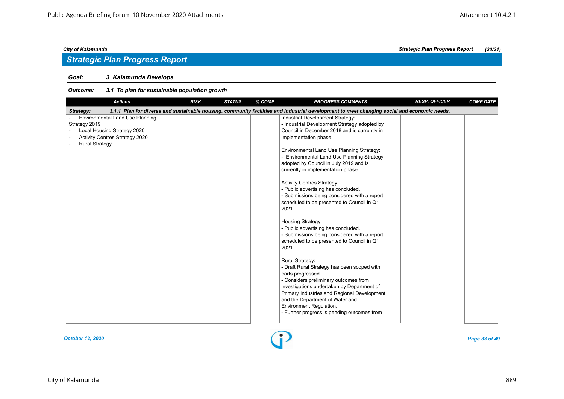# *Strategic Plan Progress Report*

### *Goal: 3 Kalamunda Develops*

| <b>Actions</b>                                                                                                                             | <b>RISK</b> | <b>STATUS</b> | % COMP | <b>PROGRESS COMMENTS</b>                                                                                                                                                                                                                                                                                                                                                                                                                                                                                                                                                                                                                                                                                                                                                                                                                                                                                                       | <b>RESP. OFFICER</b> | <b>COMP DATE</b> |
|--------------------------------------------------------------------------------------------------------------------------------------------|-------------|---------------|--------|--------------------------------------------------------------------------------------------------------------------------------------------------------------------------------------------------------------------------------------------------------------------------------------------------------------------------------------------------------------------------------------------------------------------------------------------------------------------------------------------------------------------------------------------------------------------------------------------------------------------------------------------------------------------------------------------------------------------------------------------------------------------------------------------------------------------------------------------------------------------------------------------------------------------------------|----------------------|------------------|
| Strategy:                                                                                                                                  |             |               |        | 3.1.1 Plan for diverse and sustainable housing, community facilities and industrial development to meet changing social and economic needs.                                                                                                                                                                                                                                                                                                                                                                                                                                                                                                                                                                                                                                                                                                                                                                                    |                      |                  |
| Environmental Land Use Planning<br>Strategy 2019<br>Local Housing Strategy 2020<br>Activity Centres Strategy 2020<br><b>Rural Strategy</b> |             |               |        | Industrial Development Strategy:<br>- Industrial Development Strategy adopted by<br>Council in December 2018 and is currently in<br>implementation phase.<br>Environmental Land Use Planning Strategy:<br>- Environmental Land Use Planning Strategy<br>adopted by Council in July 2019 and is<br>currently in implementation phase.<br><b>Activity Centres Strategy:</b><br>- Public advertising has concluded.<br>- Submissions being considered with a report<br>scheduled to be presented to Council in Q1<br>2021.<br>Housing Strategy:<br>- Public advertising has concluded.<br>- Submissions being considered with a report<br>scheduled to be presented to Council in Q1<br>2021.<br><b>Rural Strategy:</b><br>- Draft Rural Strategy has been scoped with<br>parts progressed.<br>- Considers preliminary outcomes from<br>investigations undertaken by Department of<br>Primary Industries and Regional Development |                      |                  |
|                                                                                                                                            |             |               |        | and the Department of Water and<br>Environment Regulation.<br>- Further progress is pending outcomes from                                                                                                                                                                                                                                                                                                                                                                                                                                                                                                                                                                                                                                                                                                                                                                                                                      |                      |                  |

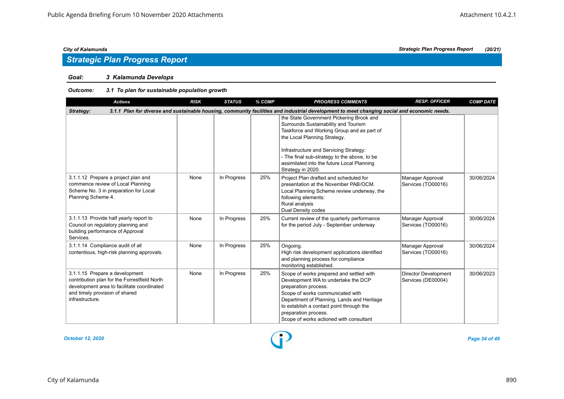### *Goal: 3 Kalamunda Develops*

### *Outcome: 3.1 To plan for sustainable population growth*

| <b>Actions</b>                                                                                                                                                                    | <b>RISK</b> | <b>STATUS</b> | % COMP | <b>PROGRESS COMMENTS</b>                                                                                                                                                                                                                                                                                                    | <b>RESP. OFFICER</b>                       | <b>COMP DATE</b> |
|-----------------------------------------------------------------------------------------------------------------------------------------------------------------------------------|-------------|---------------|--------|-----------------------------------------------------------------------------------------------------------------------------------------------------------------------------------------------------------------------------------------------------------------------------------------------------------------------------|--------------------------------------------|------------------|
| Strategy:                                                                                                                                                                         |             |               |        | 3.1.1 Plan for diverse and sustainable housing, community facilities and industrial development to meet changing social and economic needs.                                                                                                                                                                                 |                                            |                  |
|                                                                                                                                                                                   |             |               |        | the State Government Pickering Brook and<br>Surrounds Sustainability and Tourism<br>Taskforce and Working Group and as part of<br>the Local Planning Strategy.<br>Infrastructure and Servicing Strategy:<br>- The final sub-strategy to the above, to be<br>assimilated into the future Local Planning<br>Strategy in 2020. |                                            |                  |
| 3.1.1.12 Prepare a project plan and<br>commence review of Local Planning<br>Scheme No. 3 in preparation for Local<br>Planning Scheme 4.                                           | None        | In Progress   | 25%    | Project Plan drafted and scheduled for<br>presentation at the November PAB/OCM.<br>Local Planning Scheme review underway, the<br>following elements:<br>Rural analysis<br>Dual Density codes                                                                                                                                | Manager Approval<br>Services (TO00016)     | 30/06/2024       |
| 3.1.1.13 Provide half yearly report to<br>Council on regulatory planning and<br>building performance of Approval<br>Services.                                                     | None        | In Progress   | 25%    | Current review of the quarterly performance<br>for the period July - September underway                                                                                                                                                                                                                                     | Manager Approval<br>Services (TO00016)     | 30/06/2024       |
| 3.1.1.14 Compliance audit of all<br>contentious, high-risk planning approvals.                                                                                                    | None        | In Progress   | 25%    | Ongoing.<br>High risk development applications identified<br>and planning process for compliance<br>monitoring established.                                                                                                                                                                                                 | Manager Approval<br>Services (TO00016)     | 30/06/2024       |
| 3.1.1.15 Prepare a development<br>contribution plan for the Forrestfield North<br>development area to facilitate coordinated<br>and timely provision of shared<br>infrastructure. | None        | In Progress   | 25%    | Scope of works prepared and settled with<br>Development WA to undertake the DCP<br>preparation process.<br>Scope of works communicated with<br>Department of Planning, Lands and Heritage<br>to establish a contact point through the<br>preparation process.<br>Scope of works actioned with consultant                    | Director Development<br>Services (DE00004) | 30/06/2023       |

*October 12, 2020 Page 34 of 49*

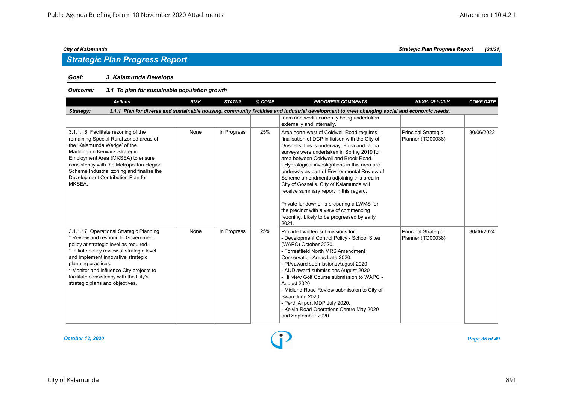### *Goal: 3 Kalamunda Develops*

| <b>Actions</b>                                                                                                                                                                                                                                                                                                                                               | <b>RISK</b> | <b>STATUS</b> | % COMP | <b>PROGRESS COMMENTS</b>                                                                                                                                                                                                                                                                                                                                                                                                                                                                                                                                                                                            | <b>RESP. OFFICER</b>                     | <b>COMP DATE</b> |
|--------------------------------------------------------------------------------------------------------------------------------------------------------------------------------------------------------------------------------------------------------------------------------------------------------------------------------------------------------------|-------------|---------------|--------|---------------------------------------------------------------------------------------------------------------------------------------------------------------------------------------------------------------------------------------------------------------------------------------------------------------------------------------------------------------------------------------------------------------------------------------------------------------------------------------------------------------------------------------------------------------------------------------------------------------------|------------------------------------------|------------------|
| Strategy:                                                                                                                                                                                                                                                                                                                                                    |             |               |        | 3.1.1 Plan for diverse and sustainable housing, community facilities and industrial development to meet changing social and economic needs.                                                                                                                                                                                                                                                                                                                                                                                                                                                                         |                                          |                  |
|                                                                                                                                                                                                                                                                                                                                                              |             |               |        | team and works currently being undertaken<br>externally and internally.                                                                                                                                                                                                                                                                                                                                                                                                                                                                                                                                             |                                          |                  |
| 3.1.1.16 Facilitate rezoning of the<br>remaining Special Rural zoned areas of<br>the 'Kalamunda Wedge' of the<br>Maddington Kenwick Strategic<br>Employment Area (MKSEA) to ensure<br>consistency with the Metropolitan Region<br>Scheme Industrial zoning and finalise the<br>Development Contribution Plan for<br>MKSEA.                                   | None        | In Progress   | 25%    | Area north-west of Coldwell Road requires<br>finalisation of DCP in liaison with the City of<br>Gosnells, this is underway. Flora and fauna<br>surveys were undertaken in Spring 2019 for<br>area between Coldwell and Brook Road.<br>- Hydrological investigations in this area are<br>underway as part of Environmental Review of<br>Scheme amendments adjoining this area in<br>City of Gosnells. City of Kalamunda will<br>receive summary report in this regard.<br>Private landowner is preparing a LWMS for<br>the precinct with a view of commencing<br>rezoning. Likely to be progressed by early<br>2021. | Principal Strategic<br>Planner (TO00038) | 30/06/2022       |
| 3.1.1.17 Operational Strategic Planning<br>* Review and respond to Government<br>policy at strategic level as required.<br>* Initiate policy review at strategic level<br>and implement innovative strategic<br>planning practices.<br>* Monitor and influence City projects to<br>facilitate consistency with the City's<br>strategic plans and objectives. | None        | In Progress   | 25%    | Provided written submissions for:<br>- Development Control Policy - School Sites<br>(WAPC) October 2020.<br>- Forrestfield North MRS Amendment<br>Conservation Areas Late 2020.<br>- PIA award submissions August 2020<br>- AUD award submissions August 2020<br>- Hillview Golf Course submission to WAPC -<br>August 2020<br>- Midland Road Review submission to City of<br>Swan June 2020<br>- Perth Airport MDP July 2020.<br>- Kelvin Road Operations Centre May 2020<br>and September 2020.                                                                                                                   | Principal Strategic<br>Planner (TO00038) | 30/06/2024       |

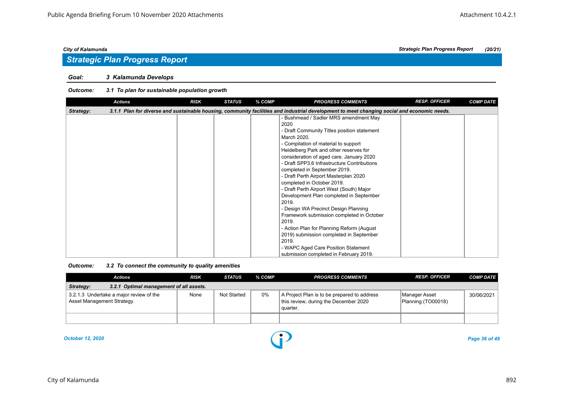### *Goal: 3 Kalamunda Develops*

|           | <b>Actions</b> | <b>RISK</b> | <b>STATUS</b> | % COMP | <b>PROGRESS COMMENTS</b>                                                                                                                    | <b>RESP. OFFICER</b> | <b>COMP DATE</b> |
|-----------|----------------|-------------|---------------|--------|---------------------------------------------------------------------------------------------------------------------------------------------|----------------------|------------------|
| Strategy: |                |             |               |        | 3.1.1 Plan for diverse and sustainable housing, community facilities and industrial development to meet changing social and economic needs. |                      |                  |
|           |                |             |               |        | - Bushmead / Sadler MRS amendment May                                                                                                       |                      |                  |
|           |                |             |               |        | 2020                                                                                                                                        |                      |                  |
|           |                |             |               |        | - Draft Community Titles position statement                                                                                                 |                      |                  |
|           |                |             |               |        | March 2020.                                                                                                                                 |                      |                  |
|           |                |             |               |        | - Compilation of material to support                                                                                                        |                      |                  |
|           |                |             |               |        | Heidelberg Park and other reserves for                                                                                                      |                      |                  |
|           |                |             |               |        | consideration of aged care. January 2020                                                                                                    |                      |                  |
|           |                |             |               |        | - Draft SPP3.6 Infrastructure Contributions                                                                                                 |                      |                  |
|           |                |             |               |        | completed in September 2019.                                                                                                                |                      |                  |
|           |                |             |               |        | - Draft Perth Airport Masterplan 2020                                                                                                       |                      |                  |
|           |                |             |               |        | completed in October 2019.                                                                                                                  |                      |                  |
|           |                |             |               |        | - Draft Perth Airport West (South) Major                                                                                                    |                      |                  |
|           |                |             |               |        | Development Plan completed in September                                                                                                     |                      |                  |
|           |                |             |               |        | 2019.                                                                                                                                       |                      |                  |
|           |                |             |               |        | - Design WA Precinct Design Planning                                                                                                        |                      |                  |
|           |                |             |               |        | Framework submission completed in October                                                                                                   |                      |                  |
|           |                |             |               |        | 2019.                                                                                                                                       |                      |                  |
|           |                |             |               |        | - Action Plan for Planning Reform (August                                                                                                   |                      |                  |
|           |                |             |               |        | 2019) submission completed in September                                                                                                     |                      |                  |
|           |                |             |               |        | 2019.                                                                                                                                       |                      |                  |
|           |                |             |               |        | - WAPC Aged Care Position Statement                                                                                                         |                      |                  |
|           |                |             |               |        | submission completed in February 2019.                                                                                                      |                      |                  |

| Outcome: | 3.2 To connect the community to quality amenities |  |
|----------|---------------------------------------------------|--|
|----------|---------------------------------------------------|--|

| Actions                                                               | <b>RISK</b> | <b>STATUS</b> | % COMP | <b>PROGRESS COMMENTS</b>                                                                         | <b>RESP. OFFICER</b>                | <b>COMP DATE</b> |
|-----------------------------------------------------------------------|-------------|---------------|--------|--------------------------------------------------------------------------------------------------|-------------------------------------|------------------|
| Strategy:<br>3.2.1 Optimal management of all assets.                  |             |               |        |                                                                                                  |                                     |                  |
| 3.2.1.3 Undertake a major review of the<br>Asset Management Strategy. | None        | Not Started   | 0%     | A Project Plan is to be prepared to address<br>this review, during the December 2020<br>quarter. | Manager Asset<br>Planning (TO00018) | 30/06/2021       |
|                                                                       |             |               |        |                                                                                                  |                                     |                  |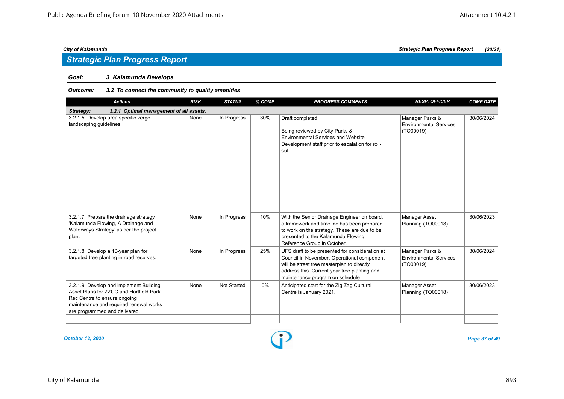# *Strategic Plan Progress Report*

### *Goal: 3 Kalamunda Develops*

### *Outcome: 3.2 To connect the community to quality amenities*

| <b>Actions</b>                                                                                                                                                                               | <b>RISK</b> | <b>STATUS</b> | % COMP | <b>PROGRESS COMMENTS</b>                                                                                                                                                                                                      | <b>RESP. OFFICER</b>                                          | <b>COMP DATE</b> |
|----------------------------------------------------------------------------------------------------------------------------------------------------------------------------------------------|-------------|---------------|--------|-------------------------------------------------------------------------------------------------------------------------------------------------------------------------------------------------------------------------------|---------------------------------------------------------------|------------------|
| 3.2.1 Optimal management of all assets.<br>Strategy:                                                                                                                                         |             |               |        |                                                                                                                                                                                                                               |                                                               |                  |
| 3.2.1.5 Develop area specific verge<br>landscaping guidelines.                                                                                                                               | None        | In Progress   | 30%    | Draft completed.<br>Being reviewed by City Parks &<br><b>Environmental Services and Website</b><br>Development staff prior to escalation for roll-<br>out                                                                     | Manager Parks &<br>Environmental Services<br>(TO00019)        | 30/06/2024       |
| 3.2.1.7 Prepare the drainage strategy<br>'Kalamunda Flowing, A Drainage and<br>Waterways Strategy' as per the project<br>plan.                                                               | None        | In Progress   | 10%    | With the Senior Drainage Engineer on board,<br>a framework and timeline has been prepared<br>to work on the strategy. These are due to be<br>presented to the Kalamunda Flowing<br>Reference Group in October.                | Manager Asset<br>Planning (TO00018)                           | 30/06/2023       |
| 3.2.1.8 Develop a 10-year plan for<br>targeted tree planting in road reserves.                                                                                                               | None        | In Progress   | 25%    | UFS draft to be presented for consideration at<br>Council in November. Operational component<br>will be street tree masterplan to directly<br>address this. Current year tree planting and<br>maintenance program on schedule | Manager Parks &<br><b>Environmental Services</b><br>(TO00019) | 30/06/2024       |
| 3.2.1.9 Develop and implement Building<br>Asset Plans for ZZCC and Hartfield Park<br>Rec Centre to ensure ongoing<br>maintenance and required renewal works<br>are programmed and delivered. | None        | Not Started   | $0\%$  | Anticipated start for the Zig Zag Cultural<br>Centre is January 2021.                                                                                                                                                         | Manager Asset<br>Planning (TO00018)                           | 30/06/2023       |
|                                                                                                                                                                                              |             |               |        |                                                                                                                                                                                                                               |                                                               |                  |

*October 12, 2020 Page 37 of 49*

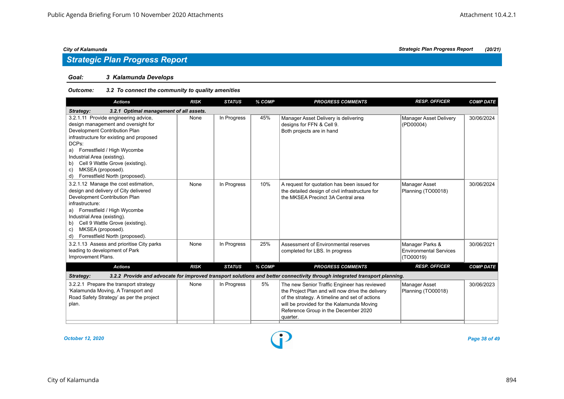# *Strategic Plan Progress Report*

### *Goal: 3 Kalamunda Develops*

### *Outcome: 3.2 To connect the community to quality amenities*

| <b>Actions</b>                                                                                                                                                                                                                                                                                                                              | <b>RISK</b> | <b>STATUS</b> | % COMP | <b>PROGRESS COMMENTS</b>                                                                                                                                                                                                                            | <b>RESP. OFFICER</b>                                          | <b>COMP DATE</b> |
|---------------------------------------------------------------------------------------------------------------------------------------------------------------------------------------------------------------------------------------------------------------------------------------------------------------------------------------------|-------------|---------------|--------|-----------------------------------------------------------------------------------------------------------------------------------------------------------------------------------------------------------------------------------------------------|---------------------------------------------------------------|------------------|
| 3.2.1 Optimal management of all assets.<br>Strategy:                                                                                                                                                                                                                                                                                        |             |               |        |                                                                                                                                                                                                                                                     |                                                               |                  |
| 3.2.1.11 Provide engineering advice,<br>design management and oversight for<br>Development Contribution Plan<br>infrastructure for existing and proposed<br>DCPs:<br>a) Forrestfield / High Wycombe<br>Industrial Area (existing).<br>b) Cell 9 Wattle Grove (existing).<br>MKSEA (proposed).<br>C)<br>Forrestfield North (proposed).<br>d) | None        | In Progress   | 45%    | Manager Asset Delivery is delivering<br>designs for FFN & Cell 9.<br>Both projects are in hand                                                                                                                                                      | <b>Manager Asset Delivery</b><br>(PD00004)                    | 30/06/2024       |
| 3.2.1.12 Manage the cost estimation,<br>design and delivery of City delivered<br>Development Contribution Plan<br>infrastructure:<br>a) Forrestfield / High Wycombe<br>Industrial Area (existing).<br>b) Cell 9 Wattle Grove (existing).<br>MKSEA (proposed).<br>C)<br>Forrestfield North (proposed).<br>d)                                 | None        | In Progress   | 10%    | A request for quotation has been issued for<br>the detailed design of civil infrastructure for<br>the MKSEA Precinct 3A Central area                                                                                                                | Manager Asset<br>Planning (TO00018)                           | 30/06/2024       |
| 3.2.1.13 Assess and prioritise City parks<br>leading to development of Park<br>Improvement Plans.                                                                                                                                                                                                                                           | None        | In Progress   | 25%    | Assessment of Environmental reserves<br>completed for LBS. In progress                                                                                                                                                                              | Manager Parks &<br><b>Environmental Services</b><br>(TO00019) | 30/06/2021       |
| <b>Actions</b>                                                                                                                                                                                                                                                                                                                              | <b>RISK</b> | <b>STATUS</b> | % COMP | <b>PROGRESS COMMENTS</b>                                                                                                                                                                                                                            | <b>RESP. OFFICER</b>                                          | <b>COMP DATE</b> |
| Strategy:                                                                                                                                                                                                                                                                                                                                   |             |               |        | 3.2.2 Provide and advocate for improved transport solutions and better connectivity through integrated transport planning.                                                                                                                          |                                                               |                  |
| 3.2.2.1 Prepare the transport strategy<br>'Kalamunda Moving, A Transport and<br>Road Safety Strategy' as per the project<br>plan.                                                                                                                                                                                                           | None        | In Progress   | 5%     | The new Senior Traffic Engineer has reviewed<br>the Project Plan and will now drive the delivery<br>of the strategy. A timeline and set of actions<br>will be provided for the Kalamunda Moving<br>Reference Group in the December 2020<br>quarter. | Manager Asset<br>Planning (TO00018)                           | 30/06/2023       |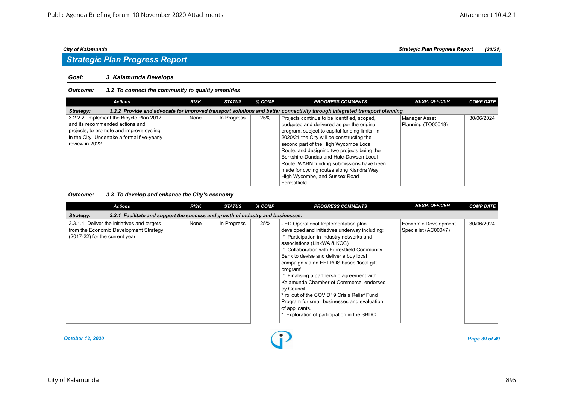# *Strategic Plan Progress Report*

#### *Goal: 3 Kalamunda Develops*

#### *Outcome: 3.2 To connect the community to quality amenities*

| <b>Actions</b>                                                                                                                          | <b>RISK</b> | STATUS      | % COMP | <b>PROGRESS COMMENTS</b>                                                                  | <b>RESP. OFFICER</b>                | <b>COMP DATE</b> |  |  |  |
|-----------------------------------------------------------------------------------------------------------------------------------------|-------------|-------------|--------|-------------------------------------------------------------------------------------------|-------------------------------------|------------------|--|--|--|
| 3.2.2 Provide and advocate for improved transport solutions and better connectivity through integrated transport planning.<br>Strategy: |             |             |        |                                                                                           |                                     |                  |  |  |  |
| 3.2.2.2 Implement the Bicycle Plan 2017<br>and its recommended actions and                                                              | None        | In Progress | 25%    | Projects continue to be identified, scoped,<br>budgeted and delivered as per the original | Manager Asset<br>Planning (TO00018) | 30/06/2024       |  |  |  |
| projects, to promote and improve cycling                                                                                                |             |             |        | program, subject to capital funding limits. In                                            |                                     |                  |  |  |  |
| in the City. Undertake a formal five-yearly                                                                                             |             |             |        | 2020/21 the City will be constructing the                                                 |                                     |                  |  |  |  |
| review in 2022.                                                                                                                         |             |             |        | second part of the High Wycombe Local<br>Route, and designing two projects being the      |                                     |                  |  |  |  |
|                                                                                                                                         |             |             |        | Berkshire-Dundas and Hale-Dawson Local                                                    |                                     |                  |  |  |  |
|                                                                                                                                         |             |             |        | Route. WABN funding submissions have been                                                 |                                     |                  |  |  |  |
|                                                                                                                                         |             |             |        | made for cycling routes along Kiandra Way                                                 |                                     |                  |  |  |  |
|                                                                                                                                         |             |             |        | High Wycombe, and Sussex Road                                                             |                                     |                  |  |  |  |
|                                                                                                                                         |             |             |        | Forrestfield.                                                                             |                                     |                  |  |  |  |

### *Outcome: 3.3 To develop and enhance the City's economy*

| Actions                                                                                                                  | <b>RISK</b> | <b>STATUS</b> | % COMP | <b>PROGRESS COMMENTS</b>                                                                                                                                                                                                                                                                                                                                                                                                                                                                                                                                                            | <b>RESP. OFFICER</b>                         | <b>COMP DATE</b> |
|--------------------------------------------------------------------------------------------------------------------------|-------------|---------------|--------|-------------------------------------------------------------------------------------------------------------------------------------------------------------------------------------------------------------------------------------------------------------------------------------------------------------------------------------------------------------------------------------------------------------------------------------------------------------------------------------------------------------------------------------------------------------------------------------|----------------------------------------------|------------------|
| 3.3.1 Facilitate and support the success and growth of industry and businesses.<br>Strategy:                             |             |               |        |                                                                                                                                                                                                                                                                                                                                                                                                                                                                                                                                                                                     |                                              |                  |
| 3.3.1.1 Deliver the initiatives and targets<br>from the Economic Development Strategy<br>(2017-22) for the current year. | None        | In Progress   | 25%    | - ED Operational Implementation plan<br>developed and initiatives underway including:<br>* Participation in industry networks and<br>associations (LinkWA & KCC)<br>Collaboration with Forrestfield Community<br>Bank to devise and deliver a buy local<br>campaign via an EFTPOS based 'local gift<br>program'.<br>Finalising a partnership agreement with<br>Kalamunda Chamber of Commerce, endorsed<br>by Council.<br>* rollout of the COVID19 Crisis Relief Fund<br>Program for small businesses and evaluation<br>of applicants.<br>* Exploration of participation in the SBDC | Economic Development<br>Specialist (AC00047) | 30/06/2024       |

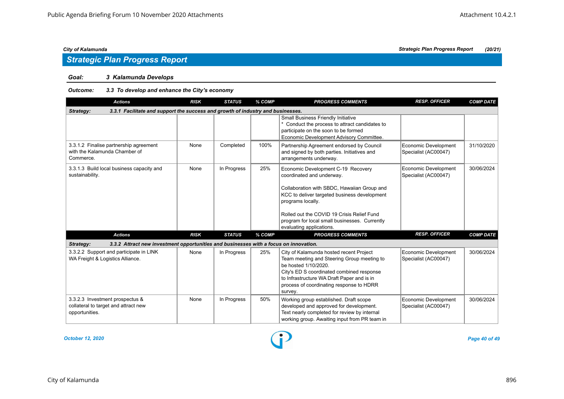# *Strategic Plan Progress Report*

### *Goal: 3 Kalamunda Develops*

### *Outcome: 3.3 To develop and enhance the City's economy*

| <b>Actions</b>                                                                                     | <b>RISK</b> | <b>STATUS</b> | % COMP | <b>PROGRESS COMMENTS</b>                                                                                                                                                                                                                                        | <b>RESP. OFFICER</b>                         | <b>COMP DATE</b> |
|----------------------------------------------------------------------------------------------------|-------------|---------------|--------|-----------------------------------------------------------------------------------------------------------------------------------------------------------------------------------------------------------------------------------------------------------------|----------------------------------------------|------------------|
| 3.3.1 Facilitate and support the success and growth of industry and businesses.<br>Strategy:       |             |               |        |                                                                                                                                                                                                                                                                 |                                              |                  |
|                                                                                                    |             |               |        | <b>Small Business Friendly Initiative</b><br>* Conduct the process to attract candidates to<br>participate on the soon to be formed<br>Economic Development Advisory Committee.                                                                                 |                                              |                  |
| 3.3.1.2 Finalise partnership agreement<br>with the Kalamunda Chamber of<br>Commerce.               | None        | Completed     | 100%   | Partnership Agreement endorsed by Council<br>and signed by both parties. Initiatives and<br>arrangements underway.                                                                                                                                              | Economic Development<br>Specialist (AC00047) | 31/10/2020       |
| 3.3.1.3 Build local business capacity and<br>sustainability.                                       | None        | In Progress   | 25%    | Economic Development C-19 Recovery<br>coordinated and underway.                                                                                                                                                                                                 | Economic Development<br>Specialist (AC00047) | 30/06/2024       |
|                                                                                                    |             |               |        | Collaboration with SBDC, Hawaiian Group and<br>KCC to deliver targeted business development<br>programs locally.                                                                                                                                                |                                              |                  |
|                                                                                                    |             |               |        | Rolled out the COVID 19 Crisis Relief Fund<br>program for local small businesses. Currently<br>evaluating applications.                                                                                                                                         |                                              |                  |
| <b>Actions</b>                                                                                     | <b>RISK</b> | <b>STATUS</b> | % COMP | <b>PROGRESS COMMENTS</b>                                                                                                                                                                                                                                        | <b>RESP. OFFICER</b>                         | <b>COMP DATE</b> |
| 3.3.2 Attract new investment opportunities and businesses with a focus on innovation.<br>Strategy: |             |               |        |                                                                                                                                                                                                                                                                 |                                              |                  |
| 3.3.2.2 Support and participate in LINK<br>WA Freight & Logistics Alliance.                        | None        | In Progress   | 25%    | City of Kalamunda hosted recent Project<br>Team meeting and Steering Group meeting to<br>be hosted 1/10/2020.<br>City's ED S coordinated combined response<br>to Infrastructure WA Draft Paper and is in<br>process of coordinating response to HDRR<br>survey. | Economic Development<br>Specialist (AC00047) | 30/06/2024       |
| 3.3.2.3 Investment prospectus &<br>collateral to target and attract new<br>opportunities.          | None        | In Progress   | 50%    | Working group established. Draft scope<br>developed and approved for development.<br>Text nearly completed for review by internal<br>working group. Awaiting input from PR team in                                                                              | Economic Development<br>Specialist (AC00047) | 30/06/2024       |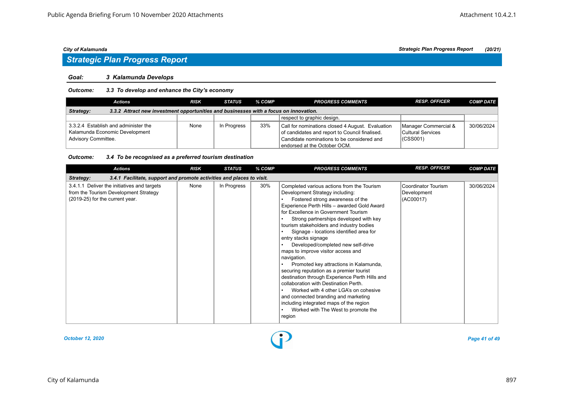# *Strategic Plan Progress Report*

#### *Goal: 3 Kalamunda Develops*

### *Outcome: 3.3 To develop and enhance the City's economy*

| <b>Actions</b>                                                                                     | <b>RISK</b> | STATUS      | % COMP | <b>PROGRESS COMMENTS</b>                                                                                                                                                         | <b>RESP. OFFICER</b>                                      | <b>COMP DATE</b> |  |  |  |  |
|----------------------------------------------------------------------------------------------------|-------------|-------------|--------|----------------------------------------------------------------------------------------------------------------------------------------------------------------------------------|-----------------------------------------------------------|------------------|--|--|--|--|
| 3.3.2 Attract new investment opportunities and businesses with a focus on innovation.<br>Strategy: |             |             |        |                                                                                                                                                                                  |                                                           |                  |  |  |  |  |
|                                                                                                    |             |             |        | respect to graphic design.                                                                                                                                                       |                                                           |                  |  |  |  |  |
| 3.3.2.4 Establish and administer the<br>Kalamunda Economic Development<br>Advisory Committee.      | None        | In Progress | 33%    | Call for nominations closed 4 August. Evaluation<br>of candidates and report to Council finalised.<br>Candidate nominations to be considered and<br>endorsed at the October OCM. | Manager Commercial &<br>Cultural Services<br>$ $ (CSS001) | 30/06/2024       |  |  |  |  |

#### *Outcome: 3.4 To be recognised as a preferred tourism destination*

| <b>Actions</b>                                                                                                          | <b>RISK</b> | <b>STATUS</b> | % COMP | <b>PROGRESS COMMENTS</b>                                                                                                                                                                                                                                                                                                                                                                                                                                                                                                                                                                                                                                                                                                                                                                                                   | <b>RESP. OFFICER</b>                            | <b>COMP DATE</b> |  |  |  |  |
|-------------------------------------------------------------------------------------------------------------------------|-------------|---------------|--------|----------------------------------------------------------------------------------------------------------------------------------------------------------------------------------------------------------------------------------------------------------------------------------------------------------------------------------------------------------------------------------------------------------------------------------------------------------------------------------------------------------------------------------------------------------------------------------------------------------------------------------------------------------------------------------------------------------------------------------------------------------------------------------------------------------------------------|-------------------------------------------------|------------------|--|--|--|--|
| 3.4.1 Facilitate, support and promote activities and places to visit.<br><b>Strategy:</b>                               |             |               |        |                                                                                                                                                                                                                                                                                                                                                                                                                                                                                                                                                                                                                                                                                                                                                                                                                            |                                                 |                  |  |  |  |  |
| 3.4.1.1 Deliver the initiatives and targets<br>from the Tourism Development Strategy<br>(2019-25) for the current year. | None        | In Progress   | 30%    | Completed various actions from the Tourism<br>Development Strategy including:<br>Fostered strong awareness of the<br>Experience Perth Hills - awarded Gold Award<br>for Excellence in Government Tourism<br>Strong partnerships developed with key<br>tourism stakeholders and industry bodies<br>Signage - locations identified area for<br>entry stacks signage<br>Developed/completed new self-drive<br>maps to improve visitor access and<br>navigation.<br>Promoted key attractions in Kalamunda,<br>securing reputation as a premier tourist<br>destination through Experience Perth Hills and<br>collaboration with Destination Perth.<br>Worked with 4 other LGA's on cohesive<br>and connected branding and marketing<br>including integrated maps of the region<br>Worked with The West to promote the<br>region | Coordinator Tourism<br>Development<br>(AC00017) | 30/06/2024       |  |  |  |  |

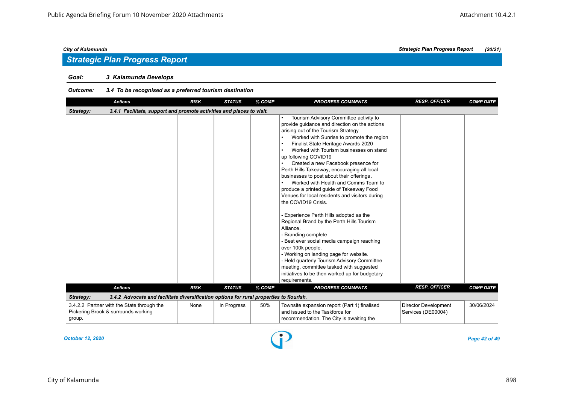### *Goal: 3 Kalamunda Develops*

### *Outcome: 3.4 To be recognised as a preferred tourism destination*

| <b>Actions</b>                                                                                       | <b>RISK</b> | <b>STATUS</b> | % COMP | <b>PROGRESS COMMENTS</b>                                                                                                                                                                                                                                                                                                                                                                                                                                                                                                                                                                                                                                                                                                                                                                                                                                                                                                                                                                 | <b>RESP. OFFICER</b>                              | <b>COMP DATE</b> |  |  |  |  |  |
|------------------------------------------------------------------------------------------------------|-------------|---------------|--------|------------------------------------------------------------------------------------------------------------------------------------------------------------------------------------------------------------------------------------------------------------------------------------------------------------------------------------------------------------------------------------------------------------------------------------------------------------------------------------------------------------------------------------------------------------------------------------------------------------------------------------------------------------------------------------------------------------------------------------------------------------------------------------------------------------------------------------------------------------------------------------------------------------------------------------------------------------------------------------------|---------------------------------------------------|------------------|--|--|--|--|--|
| 3.4.1 Facilitate, support and promote activities and places to visit.<br>Strategy:                   |             |               |        |                                                                                                                                                                                                                                                                                                                                                                                                                                                                                                                                                                                                                                                                                                                                                                                                                                                                                                                                                                                          |                                                   |                  |  |  |  |  |  |
|                                                                                                      |             |               |        | Tourism Advisory Committee activity to<br>provide quidance and direction on the actions<br>arising out of the Tourism Strategy<br>Worked with Sunrise to promote the region<br>Finalist State Heritage Awards 2020<br>Worked with Tourism businesses on stand<br>up following COVID19<br>Created a new Facebook presence for<br>Perth Hills Takeaway, encouraging all local<br>businesses to post about their offerings.<br>Worked with Health and Comms Team to<br>produce a printed guide of Takeaway Food<br>Venues for local residents and visitors during<br>the COVID19 Crisis.<br>- Experience Perth Hills adopted as the<br>Regional Brand by the Perth Hills Tourism<br>Alliance.<br>Branding complete<br>Best ever social media campaign reaching<br>over 100k people.<br>- Working on landing page for website.<br>- Held quarterly Tourism Advisory Committee<br>meeting, committee tasked with suggested<br>initiatives to be then worked up for budgetary<br>requirements. |                                                   |                  |  |  |  |  |  |
| <b>Actions</b>                                                                                       | <b>RISK</b> | <b>STATUS</b> | % COMP | <b>PROGRESS COMMENTS</b>                                                                                                                                                                                                                                                                                                                                                                                                                                                                                                                                                                                                                                                                                                                                                                                                                                                                                                                                                                 | <b>RESP. OFFICER</b>                              | <b>COMP DATE</b> |  |  |  |  |  |
| 3.4.2 Advocate and facilitate diversification options for rural properties to flourish.<br>Strategy: |             |               |        |                                                                                                                                                                                                                                                                                                                                                                                                                                                                                                                                                                                                                                                                                                                                                                                                                                                                                                                                                                                          |                                                   |                  |  |  |  |  |  |
| 3.4.2.2 Partner with the State through the<br>Pickering Brook & surrounds working<br>group.          | None        | In Progress   | 50%    | Townsite expansion report (Part 1) finalised<br>and issued to the Taskforce for<br>recommendation. The City is awaiting the                                                                                                                                                                                                                                                                                                                                                                                                                                                                                                                                                                                                                                                                                                                                                                                                                                                              | <b>Director Development</b><br>Services (DE00004) | 30/06/2024       |  |  |  |  |  |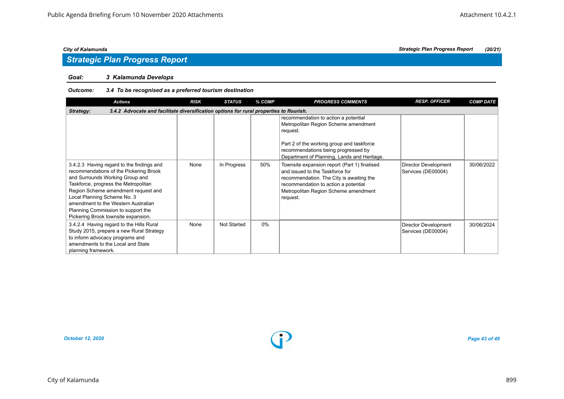# *Strategic Plan Progress Report*

### *Goal: 3 Kalamunda Develops*

### *Outcome: 3.4 To be recognised as a preferred tourism destination*

| <b>Actions</b>                                                                                                                                                                                                                                                                                                                                           | <b>RISK</b> | <b>STATUS</b>      | % COMP | <b>PROGRESS COMMENTS</b>                                                                                                                                                                                                    | <b>RESP. OFFICER</b>                              | <b>COMP DATE</b> |  |  |  |  |
|----------------------------------------------------------------------------------------------------------------------------------------------------------------------------------------------------------------------------------------------------------------------------------------------------------------------------------------------------------|-------------|--------------------|--------|-----------------------------------------------------------------------------------------------------------------------------------------------------------------------------------------------------------------------------|---------------------------------------------------|------------------|--|--|--|--|
| 3.4.2 Advocate and facilitate diversification options for rural properties to flourish.<br>Strategy:                                                                                                                                                                                                                                                     |             |                    |        |                                                                                                                                                                                                                             |                                                   |                  |  |  |  |  |
|                                                                                                                                                                                                                                                                                                                                                          |             |                    |        | recommendation to action a potential<br>Metropolitan Region Scheme amendment<br>request.<br>Part 2 of the working group and taskforce<br>recommendations being progressed by<br>Department of Planning, Lands and Heritage. |                                                   |                  |  |  |  |  |
| 3.4.2.3 Having regard to the findings and<br>recommendations of the Pickering Brook<br>and Surrounds Working Group and<br>Taskforce, progress the Metropolitan<br>Region Scheme amendment request and<br>Local Planning Scheme No. 3<br>amendment to the Western Australian<br>Planning Commission to support the<br>Pickering Brook townsite expansion. | None        | In Progress        | 50%    | Townsite expansion report (Part 1) finalised<br>and issued to the Taskforce for<br>recommendation. The City is awaiting the<br>recommendation to action a potential<br>Metropolitan Region Scheme amendment<br>request.     | <b>Director Development</b><br>Services (DE00004) | 30/06/2022       |  |  |  |  |
| 3.4.2.4 Having regard to the Hills Rural<br>Study 2015, prepare a new Rural Strategy<br>to inform advocacy programs and<br>amendments to the Local and State<br>planning framework.                                                                                                                                                                      | None        | <b>Not Started</b> | $0\%$  |                                                                                                                                                                                                                             | Director Development<br>Services (DE00004)        | 30/06/2024       |  |  |  |  |

*October 12, 2020 Page 43 of 49*

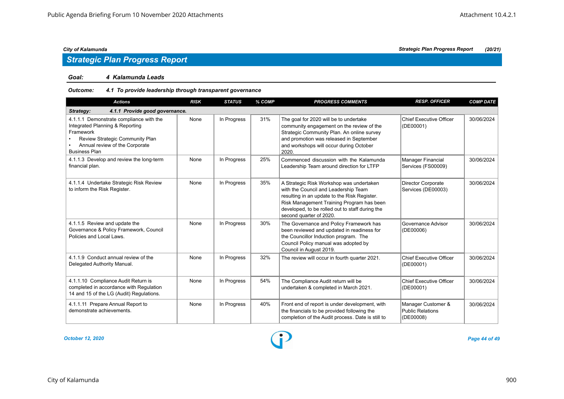# *Strategic Plan Progress Report*

### *Goal: 4 Kalamunda Leads*

### *Outcome: 4.1 To provide leadership through transparent governance*

| <b>Actions</b>                                                                                                                                                                       | <b>RISK</b> | <b>STATUS</b> | % COMP | <b>PROGRESS COMMENTS</b>                                                                                                                                                                                                                                    | <b>RESP. OFFICER</b>                                | <b>COMP DATE</b> |  |  |  |  |  |
|--------------------------------------------------------------------------------------------------------------------------------------------------------------------------------------|-------------|---------------|--------|-------------------------------------------------------------------------------------------------------------------------------------------------------------------------------------------------------------------------------------------------------------|-----------------------------------------------------|------------------|--|--|--|--|--|
| 4.1.1 Provide good governance.<br>Strategy:                                                                                                                                          |             |               |        |                                                                                                                                                                                                                                                             |                                                     |                  |  |  |  |  |  |
| 4.1.1.1 Demonstrate compliance with the<br>Integrated Planning & Reporting<br>Framework<br>Review Strategic Community Plan<br>Annual review of the Corporate<br><b>Business Plan</b> | None        | In Progress   | 31%    | The goal for 2020 will be to undertake<br>community engagement on the review of the<br>Strategic Community Plan. An online survey<br>and promotion was released in September<br>and workshops will occur during October<br>2020.                            | Chief Executive Officer<br>(DE00001)                | 30/06/2024       |  |  |  |  |  |
| 4.1.1.3 Develop and review the long-term<br>financial plan.                                                                                                                          | None        | In Progress   | 25%    | Commenced discussion with the Kalamunda<br>Leadership Team around direction for LTFP                                                                                                                                                                        | Manager Financial<br>Services (FS00009)             | 30/06/2024       |  |  |  |  |  |
| 4.1.1.4 Undertake Strategic Risk Review<br>to inform the Risk Register.                                                                                                              | None        | In Progress   | 35%    | A Strategic Risk Workshop was undertaken<br>with the Council and Leadership Team<br>resulting in an update to the Risk Register.<br>Risk Management Training Program has been<br>developed, to be rolled out to staff during the<br>second quarter of 2020. | Director Corporate<br>Services (DE00003)            | 30/06/2024       |  |  |  |  |  |
| 4.1.1.5 Review and update the<br>Governance & Policy Framework, Council<br>Policies and Local Laws.                                                                                  | None        | In Progress   | 30%    | The Governance and Policy Framework has<br>been reviewed and updated in readiness for<br>the Councillor Induction program. The<br>Council Policy manual was adopted by<br>Council in August 2019.                                                           | Governance Advisor<br>(DE00006)                     | 30/06/2024       |  |  |  |  |  |
| 4.1.1.9 Conduct annual review of the<br>Delegated Authority Manual.                                                                                                                  | None        | In Progress   | 32%    | The review will occur in fourth quarter 2021.                                                                                                                                                                                                               | Chief Executive Officer<br>(DE00001)                | 30/06/2024       |  |  |  |  |  |
| 4.1.1.10 Compliance Audit Return is<br>completed in accordance with Regulation<br>14 and 15 of the LG (Audit) Regulations.                                                           | None        | In Progress   | 54%    | The Compliance Audit return will be<br>undertaken & completed in March 2021.                                                                                                                                                                                | Chief Executive Officer<br>(DE00001)                | 30/06/2024       |  |  |  |  |  |
| 4.1.1.11 Prepare Annual Report to<br>demonstrate achievements.                                                                                                                       | None        | In Progress   | 40%    | Front end of report is under development, with<br>the financials to be provided following the<br>completion of the Audit process. Date is still to                                                                                                          | Manager Customer &<br>Public Relations<br>(DE00008) | 30/06/2024       |  |  |  |  |  |

*October 12, 2020 Page 44 of 49*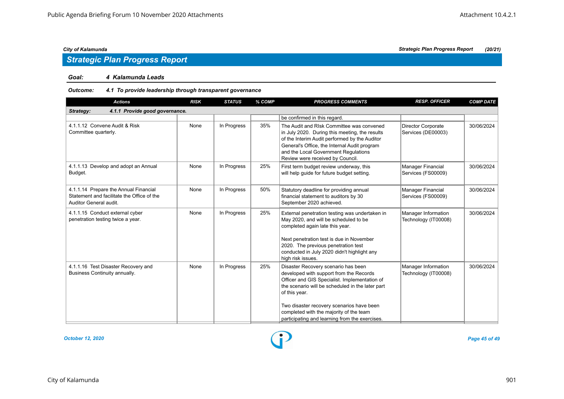# *Strategic Plan Progress Report*

### *Goal: 4 Kalamunda Leads*

### *Outcome: 4.1 To provide leadership through transparent governance*

| <b>Actions</b>                                                                                                | <b>RISK</b> | <b>STATUS</b> | % COMP | <b>PROGRESS COMMENTS</b>                                                                                                                                                                                                                                                                                                                       | <b>RESP. OFFICER</b>                            | <b>COMP DATE</b> |  |  |  |  |  |
|---------------------------------------------------------------------------------------------------------------|-------------|---------------|--------|------------------------------------------------------------------------------------------------------------------------------------------------------------------------------------------------------------------------------------------------------------------------------------------------------------------------------------------------|-------------------------------------------------|------------------|--|--|--|--|--|
| 4.1.1 Provide good governance.<br>Strategy:                                                                   |             |               |        |                                                                                                                                                                                                                                                                                                                                                |                                                 |                  |  |  |  |  |  |
|                                                                                                               |             |               |        | be confirmed in this regard.                                                                                                                                                                                                                                                                                                                   |                                                 |                  |  |  |  |  |  |
| 4.1.1.12 Convene Audit & Risk<br>Committee quarterly.                                                         | None        | In Progress   | 35%    | The Audit and RIsk Committee was convened<br>in July 2020. During this meeting, the results<br>of the Interim Audit performed by the Auditor<br>General's Office, the Internal Audit program<br>and the Local Government Regulations<br>Review were received by Council.                                                                       | <b>Director Corporate</b><br>Services (DE00003) | 30/06/2024       |  |  |  |  |  |
| 4.1.1.13 Develop and adopt an Annual<br>Budget.                                                               | None        | In Progress   | 25%    | First term budget review underway, this<br>will help quide for future budget setting.                                                                                                                                                                                                                                                          | Manager Financial<br>Services (FS00009)         | 30/06/2024       |  |  |  |  |  |
| 4.1.1.14 Prepare the Annual Financial<br>Statement and facilitate the Office of the<br>Auditor General audit. | None        | In Progress   | 50%    | Statutory deadline for providing annual<br>financial statement to auditors by 30<br>September 2020 achieved.                                                                                                                                                                                                                                   | <b>Manager Financial</b><br>Services (FS00009)  | 30/06/2024       |  |  |  |  |  |
| 4.1.1.15 Conduct external cyber<br>penetration testing twice a year.                                          | None        | In Progress   | 25%    | External penetration testing was undertaken in<br>May 2020, and will be scheduled to be<br>completed again late this year.<br>Next penetration test is due in November<br>2020. The previous penetration test<br>conducted in July 2020 didn't highlight any<br>high risk issues.                                                              | Manager Information<br>Technology (IT00008)     | 30/06/2024       |  |  |  |  |  |
| 4.1.1.16 Test Disaster Recovery and<br>Business Continuity annually.                                          | None        | In Progress   | 25%    | Disaster Recovery scenario has been<br>developed with support from the Records<br>Officer and GIS Specialist. Implementation of<br>the scenario will be scheduled in the later part<br>of this year.<br>Two disaster recovery scenarios have been<br>completed with the majority of the team<br>participating and learning from the exercises. | Manager Information<br>Technology (IT00008)     | 30/06/2024       |  |  |  |  |  |

*October 12, 2020 Page 45 of 49*

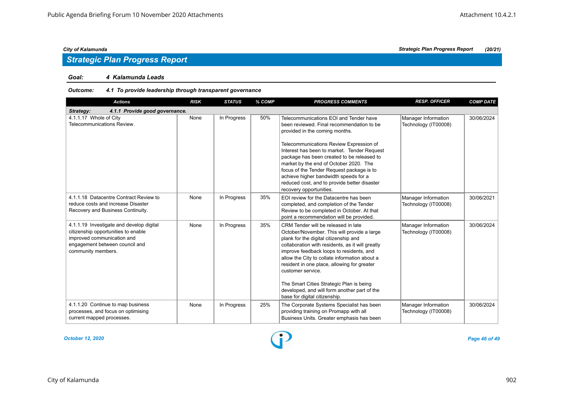#### *Goal: 4 Kalamunda Leads*

### *Outcome: 4.1 To provide leadership through transparent governance*

| <b>Actions</b>                                                                                                                                                        | <b>RISK</b> | <b>STATUS</b> | % COMP | <b>PROGRESS COMMENTS</b>                                                                                                                                                                                                                                                                                                                                                                                                                                                      | <b>RESP. OFFICER</b>                        | <b>COMP DATE</b> |
|-----------------------------------------------------------------------------------------------------------------------------------------------------------------------|-------------|---------------|--------|-------------------------------------------------------------------------------------------------------------------------------------------------------------------------------------------------------------------------------------------------------------------------------------------------------------------------------------------------------------------------------------------------------------------------------------------------------------------------------|---------------------------------------------|------------------|
| 4.1.1 Provide good governance.<br>Strategy:                                                                                                                           |             |               |        |                                                                                                                                                                                                                                                                                                                                                                                                                                                                               |                                             |                  |
| 4.1.1.17 Whole of City<br>Telecommunications Review.                                                                                                                  | None        | In Progress   | 50%    | Telecommunications EOI and Tender have<br>been reviewed. Final recommendation to be<br>provided in the coming months.<br>Telecommunications Review Expression of<br>Interest has been to market. Tender Request<br>package has been created to be released to<br>market by the end of October 2020. The<br>focus of the Tender Request package is to<br>achieve higher bandwidth speeds for a<br>reduced cost, and to provide better disaster<br>recovery opportunities.      | Manager Information<br>Technology (IT00008) | 30/06/2024       |
| 4.1.1.18 Datacentre Contract Review to<br>reduce costs and increase Disaster<br>Recovery and Business Continuity.                                                     | None        | In Progress   | 35%    | EOI review for the Datacentre has been<br>completed, and completion of the Tender<br>Review to be completed in October. At that<br>point a recommendation will be provided.                                                                                                                                                                                                                                                                                                   | Manager Information<br>Technology (IT00008) | 30/06/2021       |
| 4.1.1.19 Investigate and develop digital<br>citizenship opportunities to enable<br>improved communication and<br>engagement between council and<br>community members. | None        | In Progress   | 35%    | CRM Tender will be released in late<br>October/November. This will provide a large<br>plank for the digital citizenship and<br>collaboration with residents, as it will greatly<br>improve feedback loops to residents, and<br>allow the City to collate information about a<br>resident in one place, allowing for greater<br>customer service.<br>The Smart Cities Strategic Plan is being<br>developed, and will form another part of the<br>base for digital citizenship. | Manager Information<br>Technology (IT00008) | 30/06/2024       |
| 4.1.1.20 Continue to map business<br>processes, and focus on optimising<br>current mapped processes.                                                                  | None        | In Progress   | 25%    | The Corporate Systems Specialist has been<br>providing training on Promapp with all<br>Business Units. Greater emphasis has been                                                                                                                                                                                                                                                                                                                                              | Manager Information<br>Technology (IT00008) | 30/06/2024       |

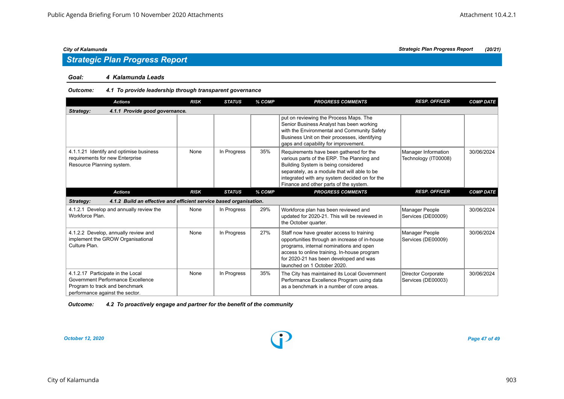# *Strategic Plan Progress Report*

#### *Goal: 4 Kalamunda Leads*

### *Outcome: 4.1 To provide leadership through transparent governance*

| <b>Actions</b>                                                                                                                              | <b>RISK</b> | <b>STATUS</b> | % COMP | <b>PROGRESS COMMENTS</b>                                                                                                                                                                                                                                                | <b>RESP. OFFICER</b>                            | <b>COMP DATE</b> |
|---------------------------------------------------------------------------------------------------------------------------------------------|-------------|---------------|--------|-------------------------------------------------------------------------------------------------------------------------------------------------------------------------------------------------------------------------------------------------------------------------|-------------------------------------------------|------------------|
| 4.1.1 Provide good governance.<br>Strategy:                                                                                                 |             |               |        |                                                                                                                                                                                                                                                                         |                                                 |                  |
|                                                                                                                                             |             |               |        | put on reviewing the Process Maps. The<br>Senior Business Analyst has been working<br>with the Environmental and Community Safety<br>Business Unit on their processes, identifying<br>gaps and capability for improvement.                                              |                                                 |                  |
| 4.1.1.21 Identify and optimise business<br>requirements for new Enterprise<br>Resource Planning system.                                     | None        | In Progress   | 35%    | Requirements have been gathered for the<br>various parts of the ERP. The Planning and<br>Building System is being considered<br>separately, as a module that will able to be<br>integrated with any system decided on for the<br>Finance and other parts of the system. | Manager Information<br>Technology (IT00008)     | 30/06/2024       |
| <b>Actions</b>                                                                                                                              | <b>RISK</b> | <b>STATUS</b> | % COMP | <b>PROGRESS COMMENTS</b>                                                                                                                                                                                                                                                | <b>RESP. OFFICER</b>                            | <b>COMP DATE</b> |
| 4.1.2 Build an effective and efficient service based organisation.<br>Strategy:                                                             |             |               |        |                                                                                                                                                                                                                                                                         |                                                 |                  |
| 4.1.2.1 Develop and annually review the<br>Workforce Plan.                                                                                  | None        | In Progress   | 29%    | Workforce plan has been reviewed and<br>updated for 2020-21. This will be reviewed in<br>the October quarter.                                                                                                                                                           | Manager People<br>Services (DE00009)            | 30/06/2024       |
| 4.1.2.2 Develop, annually review and<br>implement the GROW Organisational<br>Culture Plan.                                                  | None        | In Progress   | 27%    | Staff now have greater access to training<br>opportunities through an increase of in-house<br>programs, internal nominations and open<br>access to online training. In-house program<br>for 2020-21 has been developed and was<br>launched on 1 October 2020.           | Manager People<br>Services (DE00009)            | 30/06/2024       |
| 4.1.2.17 Participate in the Local<br>Government Performance Excellence<br>Program to track and benchmark<br>performance against the sector. | None        | In Progress   | 35%    | The City has maintained its Local Government<br>Performance Excellence Program using data<br>as a benchmark in a number of core areas.                                                                                                                                  | <b>Director Corporate</b><br>Services (DE00003) | 30/06/2024       |

| Outcome: | 4.2 To proactively engage and partner for the benefit of the community |
|----------|------------------------------------------------------------------------|
|----------|------------------------------------------------------------------------|

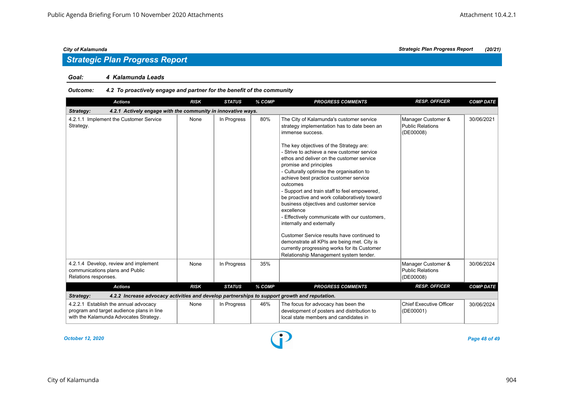#### *Goal: 4 Kalamunda Leads*

### *Outcome: 4.2 To proactively engage and partner for the benefit of the community*

| <b>Actions</b>                                                                                                               | <b>RISK</b> | <b>STATUS</b> | % COMP | <b>PROGRESS COMMENTS</b>                                                                                                                                                                                                                                                                                                                                                                                                                                                                                                                                                                                                                                                                                                                                                                                    | <b>RESP. OFFICER</b>                                       | <b>COMP DATE</b> |  |  |  |  |  |
|------------------------------------------------------------------------------------------------------------------------------|-------------|---------------|--------|-------------------------------------------------------------------------------------------------------------------------------------------------------------------------------------------------------------------------------------------------------------------------------------------------------------------------------------------------------------------------------------------------------------------------------------------------------------------------------------------------------------------------------------------------------------------------------------------------------------------------------------------------------------------------------------------------------------------------------------------------------------------------------------------------------------|------------------------------------------------------------|------------------|--|--|--|--|--|
| 4.2.1 Actively engage with the community in innovative ways.<br>Strategy:                                                    |             |               |        |                                                                                                                                                                                                                                                                                                                                                                                                                                                                                                                                                                                                                                                                                                                                                                                                             |                                                            |                  |  |  |  |  |  |
| 4.2.1.1 Implement the Customer Service<br>Strategy.                                                                          | None        | In Progress   | 80%    | The City of Kalamunda's customer service<br>strategy implementation has to date been an<br>immense success.<br>The key objectives of the Strategy are:<br>- Strive to achieve a new customer service<br>ethos and deliver on the customer service<br>promise and principles<br>- Culturally optimise the organisation to<br>achieve best practice customer service<br>outcomes<br>- Support and train staff to feel empowered,<br>be proactive and work collaboratively toward<br>business objectives and customer service<br>excellence<br>Effectively communicate with our customers,<br>internally and externally<br>Customer Service results have continued to<br>demonstrate all KPIs are being met. City is<br>currently progressing works for its Customer<br>Relationship Management system tender. | Manager Customer &<br><b>Public Relations</b><br>(DE00008) | 30/06/2021       |  |  |  |  |  |
| 4.2.1.4 Develop, review and implement<br>communications plans and Public<br>Relations responses.                             | None        | In Progress   | 35%    |                                                                                                                                                                                                                                                                                                                                                                                                                                                                                                                                                                                                                                                                                                                                                                                                             | Manager Customer &<br><b>Public Relations</b><br>(DE00008) | 30/06/2024       |  |  |  |  |  |
| <b>Actions</b>                                                                                                               | <b>RISK</b> | <b>STATUS</b> | % COMP | <b>PROGRESS COMMENTS</b>                                                                                                                                                                                                                                                                                                                                                                                                                                                                                                                                                                                                                                                                                                                                                                                    | <b>RESP. OFFICER</b>                                       | <b>COMP DATE</b> |  |  |  |  |  |
| 4.2.2 Increase advocacy activities and develop partnerships to support growth and reputation.<br>Strategy:                   |             |               |        |                                                                                                                                                                                                                                                                                                                                                                                                                                                                                                                                                                                                                                                                                                                                                                                                             |                                                            |                  |  |  |  |  |  |
| 4.2.2.1 Establish the annual advocacy<br>program and target audience plans in line<br>with the Kalamunda Advocates Strategy. | None        | In Progress   | 46%    | The focus for advocacy has been the<br>development of posters and distribution to<br>local state members and candidates in                                                                                                                                                                                                                                                                                                                                                                                                                                                                                                                                                                                                                                                                                  | <b>Chief Executive Officer</b><br>(DE00001)                | 30/06/2024       |  |  |  |  |  |